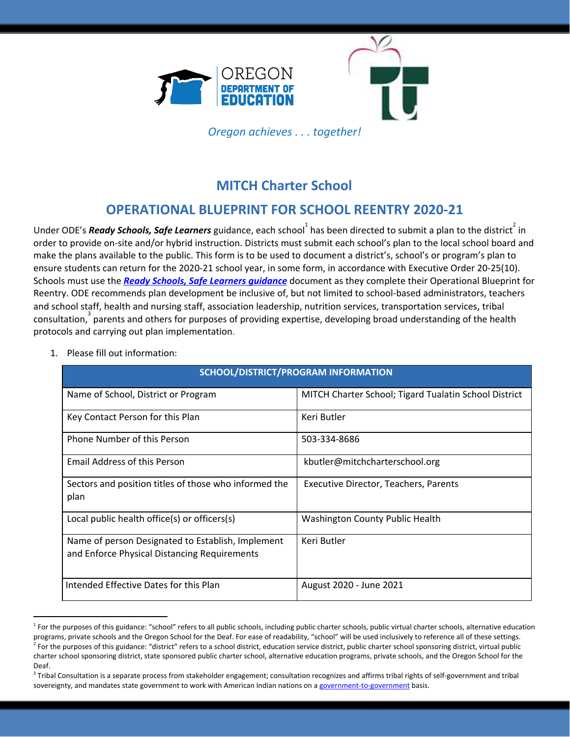



*Oregon achieves . . . together!*

# **MITCH Charter School**

# **OPERATIONAL BLUEPRINT FOR SCHOOL REENTRY 2020-21**

Under ODE's *Ready Schools, Safe Learners* guidance, each school<sup>1</sup> has been directed to submit a plan to the district<sup>2</sup> in order to provide on-site and/or hybrid instruction. Districts must submit each school's plan to the local school board and make the plans available to the public. This form is to be used to document a district's, school's or program's plan to ensure students can return for the 2020-21 school year, in some form, in accordance with Executive Order 20-25(10). Schools must use the *Ready Schools, Safe Learners [guidance](https://www.oregon.gov/ode/students-and-family/healthsafety/Documents/Ready%20Schools%20Safe%20Learners%202020-21%20Guidance.pdf)* document as they complete their Operational Blueprint for Reentry. ODE recommends plan development be inclusive of, but not limited to school-based administrators, teachers and school staff, health and nursing staff, association leadership, nutrition services, transportation services, tribal  $\arccos$  consultation,  $\arccos$  parents and others for purposes of providing expertise, developing broad understanding of the health protocols and carrying out plan implementation.

1. Please fill out information:

| <b>SCHOOL/DISTRICT/PROGRAM INFORMATION</b>                                                        |                                                       |  |
|---------------------------------------------------------------------------------------------------|-------------------------------------------------------|--|
| Name of School, District or Program                                                               | MITCH Charter School; Tigard Tualatin School District |  |
| Key Contact Person for this Plan                                                                  | Keri Butler                                           |  |
| Phone Number of this Person                                                                       | 503-334-8686                                          |  |
| <b>Email Address of this Person</b>                                                               | kbutler@mitchcharterschool.org                        |  |
| Sectors and position titles of those who informed the<br>plan                                     | Executive Director, Teachers, Parents                 |  |
| Local public health office(s) or officers(s)                                                      | <b>Washington County Public Health</b>                |  |
| Name of person Designated to Establish, Implement<br>and Enforce Physical Distancing Requirements | Keri Butler                                           |  |
| Intended Effective Dates for this Plan                                                            | August 2020 - June 2021                               |  |

<sup>&</sup>lt;sup>1</sup> For the purposes of this guidance: "school" refers to all public schools, including public charter schools, public virtual charter schools, alternative education programs, private schools and the Oregon School for the Deaf. For ease of readability, "school" will be used inclusively to reference all of these settings.  $^2$  For the purposes of this guidance: "district" refers to a school district, education service district, public charter school sponsoring district, virtual public charter school sponsoring district, state sponsored public charter school, alternative education programs, private schools, and the Oregon School for the Deaf.

 $3$  Tribal Consultation is a separate process from stakeholder engagement; consultation recognizes and affirms tribal rights of self-government and tribal sovereignty, and mandates state government to work with American Indian nations on a [government-to-government](http://www.nrc4tribes.org/files/Tab%209_9H%20Oregon%20SB770.pdf) basis.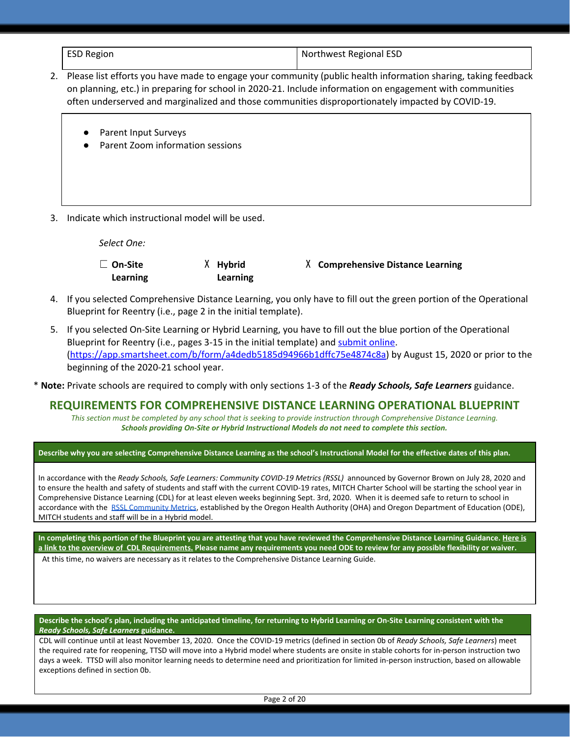| <b>ESD Region</b> | Northwest Regional ESD |
|-------------------|------------------------|
|                   |                        |

- 2. Please list efforts you have made to engage your community (public health information sharing, taking feedback on planning, etc.) in preparing for school in 2020-21. Include information on engagement with communities often underserved and marginalized and those communities disproportionately impacted by COVID-19.
	- Parent Input Surveys
	- Parent Zoom information sessions
- 3. Indicate which instructional model will be used.

*Select One:*

| $\Box$ On-Site | X Hybrid | X Comprehensive Distance Learning |
|----------------|----------|-----------------------------------|
| Learning       | Learning |                                   |

- 4. If you selected Comprehensive Distance Learning, you only have to fill out the green portion of the Operational Blueprint for Reentry (i.e., page 2 in the initial template).
- 5. If you selected On-Site Learning or Hybrid Learning, you have to fill out the blue portion of the Operational Blueprint for Reentry (i.e., pages 3-15 in the initial template) and [submit](https://app.smartsheet.com/b/form/a4dedb5185d94966b1dffc75e4874c8a) online. [\(https://app.smartsheet.com/b/form/a4dedb5185d94966b1dffc75e4874c8a\)](https://app.smartsheet.com/b/form/a4dedb5185d94966b1dffc75e4874c8a) by August 15, 2020 or prior to the beginning of the 2020-21 school year.

\* **Note:** Private schools are required to comply with only sections 1-3 of the *Ready Schools, Safe Learners* guidance.

## **REQUIREMENTS FOR COMPREHENSIVE DISTANCE LEARNING OPERATIONAL BLUEPRINT**

*This section must be completed by any school that is seeking to provide instruction through Comprehensive Distance Learning. Schools providing On-Site or Hybrid Instructional Models do not need to complete this section.*

#### **Describe why you are selecting Comprehensive Distance Learning as the school's Instructional Model for the effective dates of this plan.**

In accordance with the *Ready Schools, Safe Learners: Community COVID-19 Metrics (RSSL)* announced by Governor Brown on July 28, 2020 and to ensure the health and safety of students and staff with the current COVID-19 rates, MITCH Charter School will be starting the school year in Comprehensive Distance Learning (CDL) for at least eleven weeks beginning Sept. 3rd, 2020. When it is deemed safe to return to school in accordance with the [RSSL Community Metrics,](https://www.oregon.gov/oha/PH/DISEASESCONDITIONS/DISEASESAZ/Emerging%20Respitory%20Infections/Ready-Schools-Safe-Learners-Community-COVID-19-Metrics.pdf) established by the Oregon Health Authority (OHA) and Oregon Department of Education (ODE), MITCH students and staff will be in a Hybrid model.

**In completing this portion of the Blueprint you are attesting that you have reviewed the Comprehensive Distance Learning Guidance. [Here is](https://www.oregon.gov/ode/students-and-family/healthsafety/Documents/Comprehensive%20Distance%20Learning%20Requirements%20Review.pdf) [a link to the overview of CDL Requirements.](https://www.oregon.gov/ode/students-and-family/healthsafety/Documents/Comprehensive%20Distance%20Learning%20Requirements%20Review.pdf) Please name any requirements you need ODE to review for any possible flexibility or waiver.** At this time, no waivers are necessary as it relates to the Comprehensive Distance Learning Guide.

**Describe the school's plan, including the anticipated timeline, for returning to Hybrid Learning or On-Site Learning consistent with the** *Ready Schools, Safe Learners* **guidance.**

CDL will continue until at least November 13, 2020. Once the COVID-19 metrics (defined in section 0b of *Ready Schools, Safe Learners*) meet the required rate for reopening, TTSD will move into a Hybrid model where students are onsite in stable cohorts for in-person instruction two days a week. TTSD will also monitor learning needs to determine need and prioritization for limited in-person instruction, based on allowable exceptions defined in section 0b.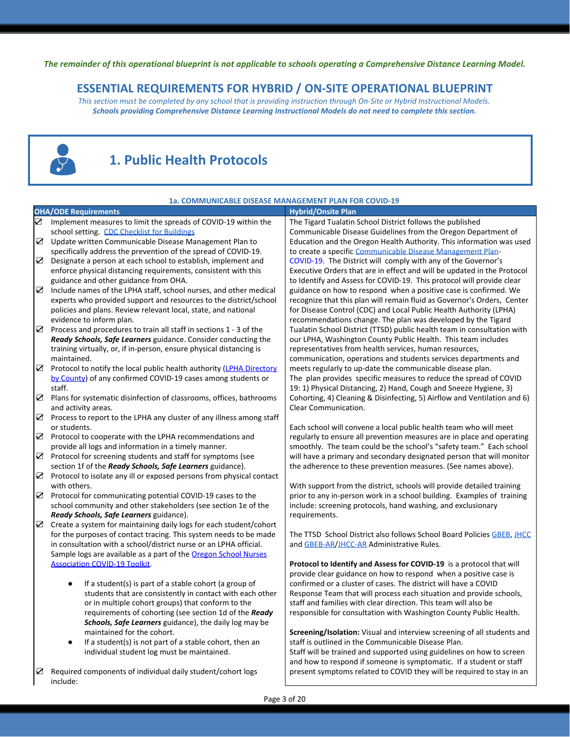The remainder of this operational blueprint is not applicable to schools operating a Comprehensive Distance Learning Model.

## **ESSENTIAL REQUIREMENTS FOR HYBRID / ON-SITE OPERATIONAL BLUEPRINT**

*This section must be completed by any school that is providing instruction through On-Site or Hybrid Instructional Models. Schools providing Comprehensive Distance Learning Instructional Models do not need to complete this section.*



# **1. Public Health Protocols**

| 1a. COMMUNICABLE DISEASE MANAGEMENT PLAN FOR COVID-19 |                                                                                                                                      |                                                                                                                                     |  |
|-------------------------------------------------------|--------------------------------------------------------------------------------------------------------------------------------------|-------------------------------------------------------------------------------------------------------------------------------------|--|
|                                                       | <b>OHA/ODE Requirements</b>                                                                                                          | <b>Hybrid/Onsite Plan</b>                                                                                                           |  |
| $\boldsymbol{\nabla}$                                 | Implement measures to limit the spreads of COVID-19 within the                                                                       | The Tigard Tualatin School District follows the published                                                                           |  |
|                                                       | school setting. CDC Checklist for Buildings                                                                                          | Communicable Disease Guidelines from the Oregon Department of                                                                       |  |
| ☑                                                     | Update written Communicable Disease Management Plan to                                                                               | Education and the Oregon Health Authority. This information was used                                                                |  |
|                                                       | specifically address the prevention of the spread of COVID-19.                                                                       | to create a specific Communicable Disease Management Plan-                                                                          |  |
| ☑                                                     | Designate a person at each school to establish, implement and                                                                        | COVID-19. The District will comply with any of the Governor's                                                                       |  |
|                                                       | enforce physical distancing requirements, consistent with this                                                                       | Executive Orders that are in effect and will be updated in the Protocol                                                             |  |
|                                                       | guidance and other guidance from OHA.                                                                                                | to Identify and Assess for COVID-19. This protocol will provide clear                                                               |  |
| ☑                                                     | Include names of the LPHA staff, school nurses, and other medical                                                                    | guidance on how to respond when a positive case is confirmed. We                                                                    |  |
|                                                       | experts who provided support and resources to the district/school                                                                    | recognize that this plan will remain fluid as Governor's Orders, Center                                                             |  |
|                                                       | policies and plans. Review relevant local, state, and national                                                                       | for Disease Control (CDC) and Local Public Health Authority (LPHA)                                                                  |  |
|                                                       | evidence to inform plan.                                                                                                             | recommendations change. The plan was developed by the Tigard                                                                        |  |
| ☑                                                     | Process and procedures to train all staff in sections 1 - 3 of the                                                                   | Tualatin School District (TTSD) public health team in consultation with                                                             |  |
|                                                       | Ready Schools, Safe Learners guidance. Consider conducting the                                                                       | our LPHA, Washington County Public Health. This team includes                                                                       |  |
|                                                       | training virtually, or, if in-person, ensure physical distancing is                                                                  | representatives from health services, human resources,                                                                              |  |
|                                                       | maintained.                                                                                                                          | communication, operations and students services departments and                                                                     |  |
| ☑                                                     | Protocol to notify the local public health authority (LPHA Directory<br>by County) of any confirmed COVID-19 cases among students or | meets regularly to up-date the communicable disease plan.<br>The plan provides specific measures to reduce the spread of COVID      |  |
|                                                       | staff.                                                                                                                               | 19: 1) Physical Distancing, 2) Hand, Cough and Sneeze Hygiene, 3)                                                                   |  |
| ☑                                                     | Plans for systematic disinfection of classrooms, offices, bathrooms                                                                  | Cohorting, 4) Cleaning & Disinfecting, 5) Airflow and Ventilation and 6)                                                            |  |
|                                                       | and activity areas.                                                                                                                  | Clear Communication.                                                                                                                |  |
| ☑                                                     | Process to report to the LPHA any cluster of any illness among staff                                                                 |                                                                                                                                     |  |
|                                                       | or students.                                                                                                                         | Each school will convene a local public health team who will meet                                                                   |  |
| ☑                                                     | Protocol to cooperate with the LPHA recommendations and                                                                              | regularly to ensure all prevention measures are in place and operating                                                              |  |
|                                                       | provide all logs and information in a timely manner.                                                                                 | smoothly. The team could be the school's "safety team." Each school                                                                 |  |
| ☑                                                     | Protocol for screening students and staff for symptoms (see                                                                          | will have a primary and secondary designated person that will monitor                                                               |  |
|                                                       | section 1f of the Ready Schools, Safe Learners guidance).                                                                            | the adherence to these prevention measures. (See names above).                                                                      |  |
| ☑                                                     | Protocol to isolate any ill or exposed persons from physical contact                                                                 |                                                                                                                                     |  |
|                                                       | with others.                                                                                                                         | With support from the district, schools will provide detailed training                                                              |  |
| ☑                                                     | Protocol for communicating potential COVID-19 cases to the                                                                           | prior to any in-person work in a school building. Examples of training                                                              |  |
|                                                       | school community and other stakeholders (see section 1e of the                                                                       | include: screening protocols, hand washing, and exclusionary                                                                        |  |
|                                                       | Ready Schools, Safe Learners guidance).                                                                                              | requirements.                                                                                                                       |  |
| ☑                                                     | Create a system for maintaining daily logs for each student/cohort                                                                   |                                                                                                                                     |  |
|                                                       | for the purposes of contact tracing. This system needs to be made                                                                    | The TTSD School District also follows School Board Policies GBEB, JHCC                                                              |  |
|                                                       | in consultation with a school/district nurse or an LPHA official.                                                                    | and GBEB-AR/JHCC-AR Administrative Rules.                                                                                           |  |
|                                                       | Sample logs are available as a part of the Oregon School Nurses                                                                      |                                                                                                                                     |  |
|                                                       | <b>Association COVID-19 Toolkit.</b>                                                                                                 | Protocol to Identify and Assess for COVID-19 is a protocol that will                                                                |  |
|                                                       |                                                                                                                                      | provide clear guidance on how to respond when a positive case is<br>confirmed or a cluster of cases. The district will have a COVID |  |
|                                                       | If a student(s) is part of a stable cohort (a group of<br>٠<br>students that are consistently in contact with each other             | Response Team that will process each situation and provide schools,                                                                 |  |
|                                                       | or in multiple cohort groups) that conform to the                                                                                    | staff and families with clear direction. This team will also be                                                                     |  |
|                                                       | requirements of cohorting (see section 1d of the Ready                                                                               | responsible for consultation with Washington County Public Health.                                                                  |  |
|                                                       | Schools, Safe Learners guidance), the daily log may be                                                                               |                                                                                                                                     |  |
|                                                       | maintained for the cohort.                                                                                                           | <b>Screening/Isolation:</b> Visual and interview screening of all students and                                                      |  |
|                                                       | If a student(s) is not part of a stable cohort, then an<br>$\bullet$                                                                 | staff is outlined in the Communicable Disease Plan.                                                                                 |  |
|                                                       | individual student log must be maintained.                                                                                           | Staff will be trained and supported using guidelines on how to screen                                                               |  |
|                                                       |                                                                                                                                      | and how to respond if someone is symptomatic. If a student or staff                                                                 |  |
| ☑                                                     | Required components of individual daily student/cohort logs                                                                          | present symptoms related to COVID they will be required to stay in an                                                               |  |
|                                                       | include:                                                                                                                             |                                                                                                                                     |  |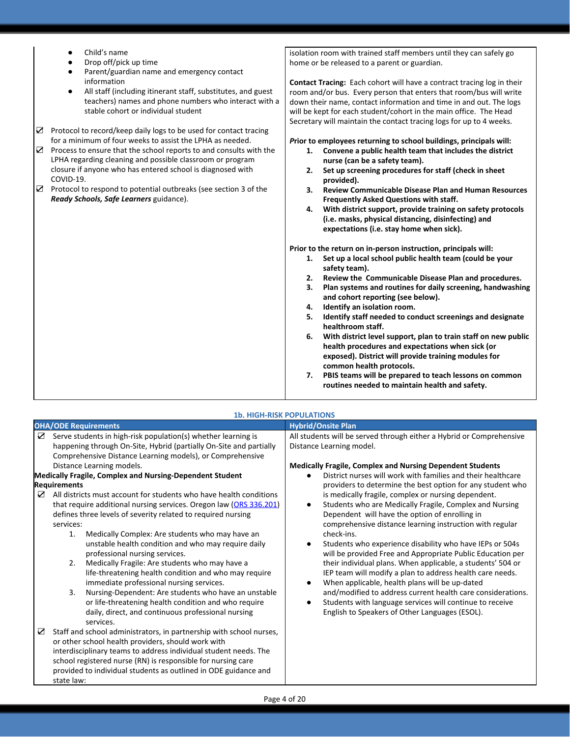- Child's name
- Drop off/pick up time
- Parent/guardian name and emergency contact information
- All staff (including itinerant staff, substitutes, and guest teachers) names and phone numbers who interact with a stable cohort or individual student
- ☑ Protocol to record/keep daily logs to be used for contact tracing for a minimum of four weeks to assist the LPHA as needed.
- ☑ Process to ensure that the school reports to and consults with the LPHA regarding cleaning and possible classroom or program closure if anyone who has entered school is diagnosed with COVID-19.
- ☑ Protocol to respond to potential outbreaks (see section 3 of the *Ready Schools, Safe Learners* guidance).

isolation room with trained staff members until they can safely go home or be released to a parent or guardian.

**Contact Tracing:** Each cohort will have a contract tracing log in their room and/or bus. Every person that enters that room/bus will write down their name, contact information and time in and out. The logs will be kept for each student/cohort in the main office. The Head Secretary will maintain the contact tracing logs for up to 4 weeks.

#### *P***rior to employees returning to school buildings, principals will:**

- **1. Convene a public health team that includes the district nurse (can be a safety team).**
- **2. Set up screening procedures for staff (check in sheet provided).**
- **3. Review Communicable Disease Plan and Human Resources Frequently Asked Questions with staff.**
- **4. With district support, provide training on safety protocols (i.e. masks, physical distancing, disinfecting) and expectations (i.e. stay home when sick).**

**Prior to the return on in-person instruction, principals will:**

- **1. Set up a local school public health team (could be your safety team).**
- **2. Review the Communicable Disease Plan and procedures.**
- **3. Plan systems and routines for daily screening, handwashing and cohort reporting (see below).**
- **4. Identify an isolation room.**
- **5. Identify staff needed to conduct screenings and designate healthroom staff.**
- **6. With district level support, plan to train staff on new public health procedures and expectations when sick (or exposed). District will provide training modules for common health protocols.**
- **7. PBIS teams will be prepared to teach lessons on common routines needed to maintain health and safety.**

#### **OHA/ODE Requirements Hybrid/Onsite Plan**  $\triangleright$  Serve students in high-risk population(s) whether learning is happening through On-Site, Hybrid (partially On-Site and partially Comprehensive Distance Learning models), or Comprehensive Distance Learning models. All students will be served through either a Hybrid or Comprehensive Distance Learning model. **Medically Fragile, Complex and Nursing Dependent Students** District nurses will work with families and their healthcare providers to determine the best option for any student who is medically fragile, complex or nursing dependent. Students who are Medically Fragile, Complex and Nursing Dependent will have the option of enrolling in comprehensive distance learning instruction with regular check-ins. Students who experience disability who have IEPs or 504s will be provided Free and Appropriate Public Education per their individual plans. When applicable, a students' 504 or IEP team will modify a plan to address health care needs. When applicable, health plans will be up-dated and/modified to address current health care considerations. Students with language services will continue to receive English to Speakers of Other Languages (ESOL). **Medically Fragile, Complex and Nursing-Dependent Student Requirements** ☑ All districts must account for students who have health conditions that require additional nursing services. Oregon law ([ORS 336.201\)](https://www.oregonlaws.org/ors/336.201) defines three levels of severity related to required nursing services: 1. Medically Complex: Are students who may have an unstable health condition and who may require daily professional nursing services. 2. Medically Fragile: Are students who may have a life-threatening health condition and who may require immediate professional nursing services. 3. Nursing-Dependent: Are students who have an unstable or life-threatening health condition and who require daily, direct, and continuous professional nursing services. ☑ Staff and school administrators, in partnership with school nurses, or other school health providers, should work with interdisciplinary teams to address individual student needs. The school registered nurse (RN) is responsible for nursing care provided to individual students as outlined in ODE guidance and state law:

## **1b. HIGH-RISK POPULATIONS**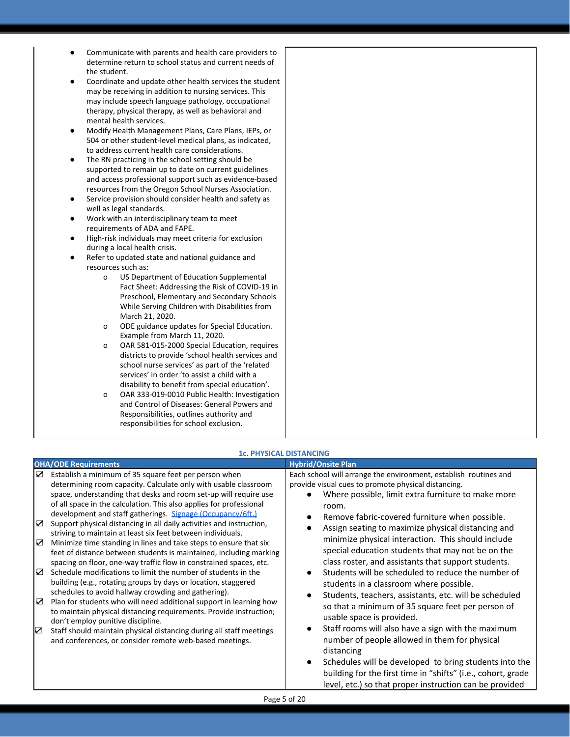- Communicate with parents and health care providers to determine return to school status and current needs of the student.
- Coordinate and update other health services the student may be receiving in addition to nursing services. This may include speech language pathology, occupational therapy, physical therapy, as well as behavioral and mental health services.
- Modify Health Management Plans, Care Plans, IEPs, or 504 or other student-level medical plans, as indicated, to address current health care considerations.
- The RN practicing in the school setting should be supported to remain up to date on current guidelines and access professional support such as evidence-based resources from the Oregon School Nurses Association.
- Service provision should consider health and safety as well as legal standards.
- Work with an interdisciplinary team to meet requirements of ADA and FAPE.
- High-risk individuals may meet criteria for exclusion during a local health crisis.
- Refer to updated state and national guidance and resources such as:
	- o US Department of Education Supplemental Fact Sheet: Addressing the Risk of COVID-19 in Preschool, Elementary and Secondary Schools While Serving Children with Disabilities from March 21, 2020.
	- o ODE guidance updates for Special Education. Example from March 11, 2020.
	- o OAR 581-015-2000 Special Education, requires districts to provide 'school health services and school nurse services' as part of the 'related services' in order 'to assist a child with a disability to benefit from special education'.
	- o OAR 333-019-0010 Public Health: Investigation and Control of Diseases: General Powers and Responsibilities, outlines authority and responsibilities for school exclusion.

|                            | <b>OHA/ODE Requirements</b>                                                                                                                                                                                                                                                                                                                                                                                                                                                                                                                                                                                                                                                                                                                                                                                                                                                                                                                                                                                                                                                                                                                                                                            | <b>Hybrid/Onsite Plan</b>                                                                                                                                                                                                                                                                                                                                                                                                                                                                                                                                                                                                                                                                                                                                                                                                          |
|----------------------------|--------------------------------------------------------------------------------------------------------------------------------------------------------------------------------------------------------------------------------------------------------------------------------------------------------------------------------------------------------------------------------------------------------------------------------------------------------------------------------------------------------------------------------------------------------------------------------------------------------------------------------------------------------------------------------------------------------------------------------------------------------------------------------------------------------------------------------------------------------------------------------------------------------------------------------------------------------------------------------------------------------------------------------------------------------------------------------------------------------------------------------------------------------------------------------------------------------|------------------------------------------------------------------------------------------------------------------------------------------------------------------------------------------------------------------------------------------------------------------------------------------------------------------------------------------------------------------------------------------------------------------------------------------------------------------------------------------------------------------------------------------------------------------------------------------------------------------------------------------------------------------------------------------------------------------------------------------------------------------------------------------------------------------------------------|
| ☑<br>☑<br>☑<br>☑<br>☑<br>☑ | Establish a minimum of 35 square feet per person when<br>determining room capacity. Calculate only with usable classroom<br>space, understanding that desks and room set-up will require use<br>of all space in the calculation. This also applies for professional<br>development and staff gatherings. Signage (Occupancy/6ft.)<br>Support physical distancing in all daily activities and instruction,<br>striving to maintain at least six feet between individuals.<br>Minimize time standing in lines and take steps to ensure that six<br>feet of distance between students is maintained, including marking<br>spacing on floor, one-way traffic flow in constrained spaces, etc.<br>Schedule modifications to limit the number of students in the<br>building (e.g., rotating groups by days or location, staggered<br>schedules to avoid hallway crowding and gathering).<br>Plan for students who will need additional support in learning how<br>to maintain physical distancing requirements. Provide instruction;<br>don't employ punitive discipline.<br>Staff should maintain physical distancing during all staff meetings<br>and conferences, or consider remote web-based meetings. | Each school will arrange the environment, establish routines and<br>provide visual cues to promote physical distancing.<br>Where possible, limit extra furniture to make more<br>room.<br>Remove fabric-covered furniture when possible.<br>Assign seating to maximize physical distancing and<br>minimize physical interaction. This should include<br>special education students that may not be on the<br>class roster, and assistants that support students.<br>Students will be scheduled to reduce the number of<br>students in a classroom where possible.<br>Students, teachers, assistants, etc. will be scheduled<br>so that a minimum of 35 square feet per person of<br>usable space is provided.<br>Staff rooms will also have a sign with the maximum<br>number of people allowed in them for physical<br>distancing |
|                            |                                                                                                                                                                                                                                                                                                                                                                                                                                                                                                                                                                                                                                                                                                                                                                                                                                                                                                                                                                                                                                                                                                                                                                                                        | Schedules will be developed to bring students into the<br>building for the first time in "shifts" (i.e., cohort, grade                                                                                                                                                                                                                                                                                                                                                                                                                                                                                                                                                                                                                                                                                                             |

## **1c. PHYSICAL DISTANCING**

level, etc.) so that proper instruction can be provided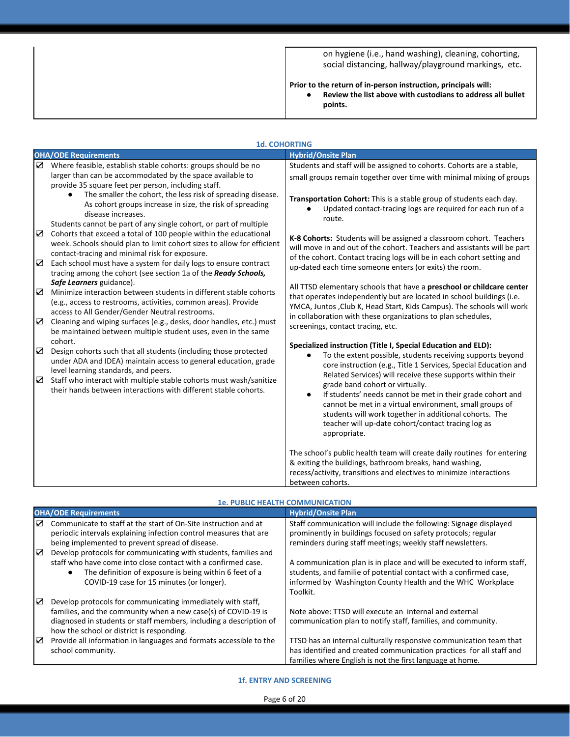on hygiene (i.e., hand washing), cleaning, cohorting, social distancing, hallway/playground markings, etc.

#### **Prior to the return of in-person instruction, principals will:**

**● Review the list above with custodians to address all bullet points.**

|                 | <b>1d. COHORTING</b>                                                                                                                                                                                                                                             |                                                                                                                                                                                                                                                                                                                                                        |
|-----------------|------------------------------------------------------------------------------------------------------------------------------------------------------------------------------------------------------------------------------------------------------------------|--------------------------------------------------------------------------------------------------------------------------------------------------------------------------------------------------------------------------------------------------------------------------------------------------------------------------------------------------------|
|                 | <b>OHA/ODE Requirements</b>                                                                                                                                                                                                                                      | <b>Hybrid/Onsite Plan</b>                                                                                                                                                                                                                                                                                                                              |
| ☑               | Where feasible, establish stable cohorts: groups should be no                                                                                                                                                                                                    | Students and staff will be assigned to cohorts. Cohorts are a stable,                                                                                                                                                                                                                                                                                  |
|                 | larger than can be accommodated by the space available to                                                                                                                                                                                                        | small groups remain together over time with minimal mixing of groups                                                                                                                                                                                                                                                                                   |
|                 | provide 35 square feet per person, including staff.                                                                                                                                                                                                              |                                                                                                                                                                                                                                                                                                                                                        |
|                 | The smaller the cohort, the less risk of spreading disease.<br>$\bullet$<br>As cohort groups increase in size, the risk of spreading<br>disease increases.<br>Students cannot be part of any single cohort, or part of multiple                                  | Transportation Cohort: This is a stable group of students each day.<br>Updated contact-tracing logs are required for each run of a<br>route.                                                                                                                                                                                                           |
| $\sum$<br>☑     | Cohorts that exceed a total of 100 people within the educational<br>week. Schools should plan to limit cohort sizes to allow for efficient<br>contact-tracing and minimal risk for exposure.<br>Each school must have a system for daily logs to ensure contract | K-8 Cohorts: Students will be assigned a classroom cohort. Teachers<br>will move in and out of the cohort. Teachers and assistants will be part<br>of the cohort. Contact tracing logs will be in each cohort setting and                                                                                                                              |
|                 | tracing among the cohort (see section 1a of the Ready Schools,                                                                                                                                                                                                   | up-dated each time someone enters (or exits) the room.                                                                                                                                                                                                                                                                                                 |
| $\nabla$        | Safe Learners guidance).<br>Minimize interaction between students in different stable cohorts<br>(e.g., access to restrooms, activities, common areas). Provide<br>access to All Gender/Gender Neutral restrooms.                                                | All TTSD elementary schools that have a preschool or childcare center<br>that operates independently but are located in school buildings (i.e.<br>YMCA, Juntos, Club K, Head Start, Kids Campus). The schools will work                                                                                                                                |
| $\triangledown$ | Cleaning and wiping surfaces (e.g., desks, door handles, etc.) must<br>be maintained between multiple student uses, even in the same                                                                                                                             | in collaboration with these organizations to plan schedules,<br>screenings, contact tracing, etc.                                                                                                                                                                                                                                                      |
| $\triangledown$ | cohort.<br>Design cohorts such that all students (including those protected<br>under ADA and IDEA) maintain access to general education, grade<br>level learning standards, and peers.                                                                           | Specialized instruction (Title I, Special Education and ELD):<br>To the extent possible, students receiving supports beyond<br>core instruction (e.g., Title 1 Services, Special Education and                                                                                                                                                         |
| ☑               | Staff who interact with multiple stable cohorts must wash/sanitize<br>their hands between interactions with different stable cohorts.                                                                                                                            | Related Services) will receive these supports within their<br>grade band cohort or virtually.<br>If students' needs cannot be met in their grade cohort and<br>cannot be met in a virtual environment, small groups of<br>students will work together in additional cohorts. The<br>teacher will up-date cohort/contact tracing log as<br>appropriate. |
|                 |                                                                                                                                                                                                                                                                  | The school's public health team will create daily routines for entering<br>& exiting the buildings, bathroom breaks, hand washing,<br>recess/activity, transitions and electives to minimize interactions                                                                                                                                              |
|                 |                                                                                                                                                                                                                                                                  | between cohorts.                                                                                                                                                                                                                                                                                                                                       |

#### **1e. PUBLIC HEALTH COMMUNICATION**

|   | <b>OHA/ODE Requirements</b>                                                                                                          | <b>Hybrid/Onsite Plan</b>                                                                                                          |  |
|---|--------------------------------------------------------------------------------------------------------------------------------------|------------------------------------------------------------------------------------------------------------------------------------|--|
| ⊽ | Communicate to staff at the start of On-Site instruction and at<br>periodic intervals explaining infection control measures that are | Staff communication will include the following: Signage displayed<br>prominently in buildings focused on safety protocols; regular |  |
|   | being implemented to prevent spread of disease.                                                                                      | reminders during staff meetings; weekly staff newsletters.                                                                         |  |
| ☑ | Develop protocols for communicating with students, families and<br>staff who have come into close contact with a confirmed case.     | A communication plan is in place and will be executed to inform staff,                                                             |  |
|   | The definition of exposure is being within 6 feet of a<br>COVID-19 case for 15 minutes (or longer).                                  | students, and familie of potential contact with a confirmed case,<br>informed by Washington County Health and the WHC Workplace    |  |
|   |                                                                                                                                      | Toolkit.                                                                                                                           |  |
| ☑ | Develop protocols for communicating immediately with staff,                                                                          |                                                                                                                                    |  |
|   | families, and the community when a new case(s) of COVID-19 is                                                                        | Note above: TTSD will execute an internal and external                                                                             |  |
|   | diagnosed in students or staff members, including a description of<br>how the school or district is responding.                      | communication plan to notify staff, families, and community.                                                                       |  |
| ☑ | Provide all information in languages and formats accessible to the                                                                   | TTSD has an internal culturally responsive communication team that                                                                 |  |
|   | school community.                                                                                                                    | has identified and created communication practices for all staff and                                                               |  |
|   |                                                                                                                                      | families where English is not the first language at home.                                                                          |  |

**1f. ENTRY AND SCREENING**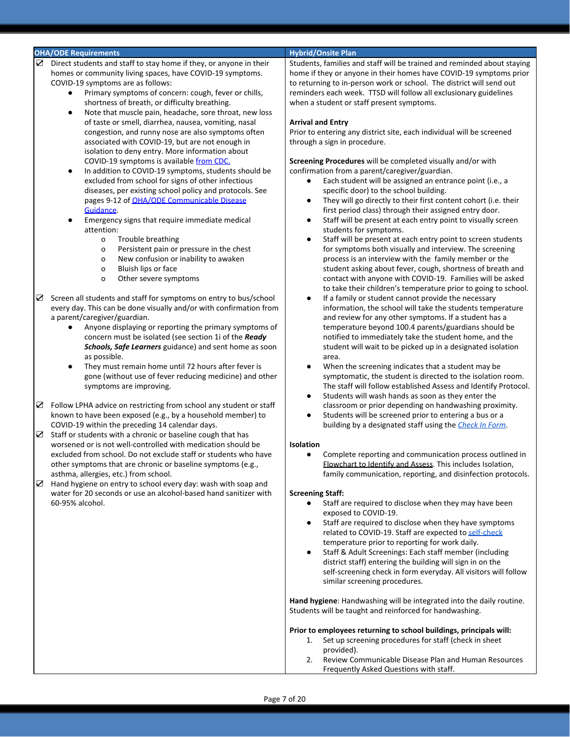#### **OHA/ODE Requirements Hybrid/Onsite Plan**

- ☑ Direct students and staff to stay home if they, or anyone in their homes or community living spaces, have COVID-19 symptoms. COVID-19 symptoms are as follows:
	- Primary symptoms of concern: cough, fever or chills, shortness of breath, or difficulty breathing.
	- Note that muscle pain, headache, sore throat, new loss of taste or smell, diarrhea, nausea, vomiting, nasal congestion, and runny nose are also symptoms often associated with COVID-19, but are not enough in isolation to deny entry. More information about COVID-19 symptoms is available [from CDC.](https://www.cdc.gov/coronavirus/2019-ncov/symptoms-testing/symptoms.html)
	- In addition to COVID-19 symptoms, students should be excluded from school for signs of other infectious diseases, per existing school policy and protocols. See pages 9-12 of [OHA/ODE Communicable Disease](https://www.oregon.gov/ode/students-and-family/healthsafety/Documents/commdisease.pdf) [Guidance](https://www.oregon.gov/ode/students-and-family/healthsafety/Documents/commdisease.pdf).
	- Emergency signs that require immediate medical attention:
		- o Trouble breathing
		- o Persistent pain or pressure in the chest
		- o New confusion or inability to awaken
		- o Bluish lips or face
		- o Other severe symptoms
- ☑ Screen all students and staff for symptoms on entry to bus/school every day. This can be done visually and/or with confirmation from a parent/caregiver/guardian.
	- Anyone displaying or reporting the primary symptoms of concern must be isolated (see section 1i of the *Ready Schools, Safe Learners* guidance) and sent home as soon as possible.
	- They must remain home until 72 hours after fever is gone (without use of fever reducing medicine) and other symptoms are improving.
- ☑ Follow LPHA advice on restricting from school any student or staff known to have been exposed (e.g., by a household member) to COVID-19 within the preceding 14 calendar days.
- ☑ Staff or students with a chronic or baseline cough that has worsened or is not well-controlled with medication should be excluded from school. Do not exclude staff or students who have other symptoms that are chronic or baseline symptoms (e.g., asthma, allergies, etc.) from school.
- $\triangleright$  Hand hygiene on entry to school every day: wash with soap and water for 20 seconds or use an alcohol-based hand sanitizer with 60-95% alcohol.

Students, families and staff will be trained and reminded about staying home if they or anyone in their homes have COVID-19 symptoms prior to returning to in-person work or school. The district will send out reminders each week. TTSD will follow all exclusionary guidelines when a student or staff present symptoms.

#### **Arrival and Entry**

Prior to entering any district site, each individual will be screened through a sign in procedure.

**Screening Procedures** will be completed visually and/or with confirmation from a parent/caregiver/guardian.

- Each student will be assigned an entrance point (i.e., a specific door) to the school building.
- They will go directly to their first content cohort (i.e. their first period class) through their assigned entry door.
- Staff will be present at each entry point to visually screen students for symptoms.
- Staff will be present at each entry point to screen students for symptoms both visually and interview. The screening process is an interview with the family member or the student asking about fever, cough, shortness of breath and contact with anyone with COVID-19. Families will be asked to take their children's temperature prior to going to school.
- If a family or student cannot provide the necessary information, the school will take the students temperature and review for any other symptoms. If a student has a temperature beyond 100.4 parents/guardians should be notified to immediately take the student home, and the student will wait to be picked up in a designated isolation area.
- When the screening indicates that a student may be symptomatic, the student is directed to the isolation room. The staff will follow established Assess and Identify Protocol.
- Students will wash hands as soon as they enter the classroom or prior depending on handwashing proximity.
- Students will be screened prior to entering a bus or a building by a designated staff using the *[Check In Form](https://drive.google.com/file/d/1yoHtuyrUYLHZwzlx5C9YSh9gv5pu394H/view?usp=sharing)*.

#### **Isolation**

Complete reporting and communication process outlined in Flowchart to Identify and Assess. This includes Isolation, family communication, reporting, and disinfection protocols.

#### **Screening Staff:**

- Staff are required to disclose when they may have been exposed to COVID-19.
- Staff are required to disclose when they have symptoms related to COVID-19. Staff are expected to [self-check](https://docs.google.com/document/d/1bbjaaBxGQz0iOdntNzyMhZxecQCEd--r92lQKwVQwuY/edit) temperature prior to reporting for work daily.
- Staff & Adult Screenings: Each staff member (including district staff) entering the building will sign in on the self-screening check in form everyday. All visitors will follow similar screening procedures.

**Hand hygiene**: Handwashing will be integrated into the daily routine. Students will be taught and reinforced for handwashing.

#### **Prior to employees returning to school buildings, principals will:**

- 1. Set up screening procedures for staff (check in sheet provided).
- 2. Review Communicable Disease Plan and Human Resources Frequently Asked Questions with staff.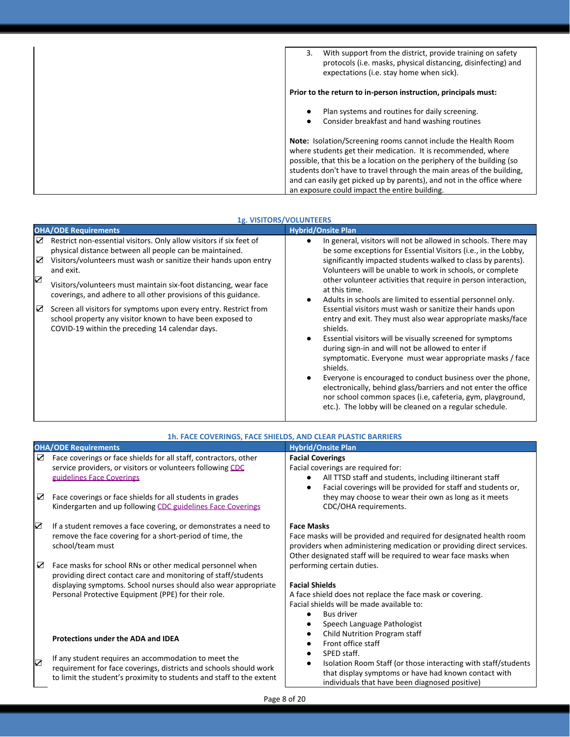| With support from the district, provide training on safety<br>3.<br>protocols (i.e. masks, physical distancing, disinfecting) and<br>expectations (i.e. stay home when sick).                                                                                                                                                                                                                                |
|--------------------------------------------------------------------------------------------------------------------------------------------------------------------------------------------------------------------------------------------------------------------------------------------------------------------------------------------------------------------------------------------------------------|
| Prior to the return to in-person instruction, principals must:                                                                                                                                                                                                                                                                                                                                               |
| Plan systems and routines for daily screening.<br>$\bullet$<br>Consider breakfast and hand washing routines<br>$\bullet$                                                                                                                                                                                                                                                                                     |
| Note: Isolation/Screening rooms cannot include the Health Room<br>where students get their medication. It is recommended, where<br>possible, that this be a location on the periphery of the building (so<br>students don't have to travel through the main areas of the building,<br>and can easily get picked up by parents), and not in the office where<br>an exposure could impact the entire building. |

|                  | <b>1g. VISITORS/VOLUNTEERS</b>                                                                                                                                                                                                                                                                                                                                                                                                                                                                                                             |                                                                                                                                                                                                                                                                                                                                                                                                                                                                                                                                                                                                                                                                                                                                                                                                                                                                                                                                                                                                                                                  |  |  |
|------------------|--------------------------------------------------------------------------------------------------------------------------------------------------------------------------------------------------------------------------------------------------------------------------------------------------------------------------------------------------------------------------------------------------------------------------------------------------------------------------------------------------------------------------------------------|--------------------------------------------------------------------------------------------------------------------------------------------------------------------------------------------------------------------------------------------------------------------------------------------------------------------------------------------------------------------------------------------------------------------------------------------------------------------------------------------------------------------------------------------------------------------------------------------------------------------------------------------------------------------------------------------------------------------------------------------------------------------------------------------------------------------------------------------------------------------------------------------------------------------------------------------------------------------------------------------------------------------------------------------------|--|--|
|                  | <b>OHA/ODE Requirements</b>                                                                                                                                                                                                                                                                                                                                                                                                                                                                                                                | <b>Hybrid/Onsite Plan</b>                                                                                                                                                                                                                                                                                                                                                                                                                                                                                                                                                                                                                                                                                                                                                                                                                                                                                                                                                                                                                        |  |  |
| ☑<br>☑<br>☑<br>☑ | Restrict non-essential visitors. Only allow visitors if six feet of<br>physical distance between all people can be maintained.<br>Visitors/volunteers must wash or sanitize their hands upon entry<br>and exit.<br>Visitors/volunteers must maintain six-foot distancing, wear face<br>coverings, and adhere to all other provisions of this guidance.<br>Screen all visitors for symptoms upon every entry. Restrict from<br>school property any visitor known to have been exposed to<br>COVID-19 within the preceding 14 calendar days. | In general, visitors will not be allowed in schools. There may<br>$\bullet$<br>be some exceptions for Essential Visitors (i.e., in the Lobby,<br>significantly impacted students walked to class by parents).<br>Volunteers will be unable to work in schools, or complete<br>other volunteer activities that require in person interaction,<br>at this time.<br>Adults in schools are limited to essential personnel only.<br>Essential visitors must wash or sanitize their hands upon<br>entry and exit. They must also wear appropriate masks/face<br>shields.<br>Essential visitors will be visually screened for symptoms<br>$\bullet$<br>during sign-in and will not be allowed to enter if<br>symptomatic. Everyone must wear appropriate masks / face<br>shields.<br>Everyone is encouraged to conduct business over the phone,<br>$\bullet$<br>electronically, behind glass/barriers and not enter the office<br>nor school common spaces (i.e. cafeteria, gym, playground,<br>etc.). The lobby will be cleaned on a regular schedule. |  |  |

|   | 1h. FACE COVERINGS, FACE SHIELDS, AND CLEAR PLASTIC BARRIERS                                                                                                                                                                                          |                                                                                                                                                                                                                                      |  |  |
|---|-------------------------------------------------------------------------------------------------------------------------------------------------------------------------------------------------------------------------------------------------------|--------------------------------------------------------------------------------------------------------------------------------------------------------------------------------------------------------------------------------------|--|--|
|   | <b>OHA/ODE Requirements</b>                                                                                                                                                                                                                           | <b>Hybrid/Onsite Plan</b>                                                                                                                                                                                                            |  |  |
| ☑ | Face coverings or face shields for all staff, contractors, other<br>service providers, or visitors or volunteers following CDC<br>guidelines Face Coverings                                                                                           | <b>Facial Coverings</b><br>Facial coverings are required for:<br>All TTSD staff and students, including iltinerant staff<br>Facial coverings will be provided for staff and students or,                                             |  |  |
| ☑ | Face coverings or face shields for all students in grades<br>Kindergarten and up following CDC guidelines Face Coverings                                                                                                                              | they may choose to wear their own as long as it meets<br>CDC/OHA requirements.                                                                                                                                                       |  |  |
| ☑ | If a student removes a face covering, or demonstrates a need to<br>remove the face covering for a short-period of time, the<br>school/team must                                                                                                       | <b>Face Masks</b><br>Face masks will be provided and required for designated health room<br>providers when administering medication or providing direct services.<br>Other designated staff will be required to wear face masks when |  |  |
| ☑ | Face masks for school RNs or other medical personnel when<br>providing direct contact care and monitoring of staff/students<br>displaying symptoms. School nurses should also wear appropriate<br>Personal Protective Equipment (PPE) for their role. | performing certain duties.<br><b>Facial Shields</b><br>A face shield does not replace the face mask or covering.<br>Facial shields will be made available to:<br><b>Bus driver</b><br>Speech Language Pathologist                    |  |  |
| ☑ | Protections under the ADA and IDEA<br>If any student requires an accommodation to meet the<br>requirement for face coverings, districts and schools should work                                                                                       | Child Nutrition Program staff<br>Front office staff<br>SPED staff.<br>Isolation Room Staff (or those interacting with staff/students                                                                                                 |  |  |
|   | to limit the student's proximity to students and staff to the extent                                                                                                                                                                                  | that display symptoms or have had known contact with<br>individuals that have been diagnosed positive)                                                                                                                               |  |  |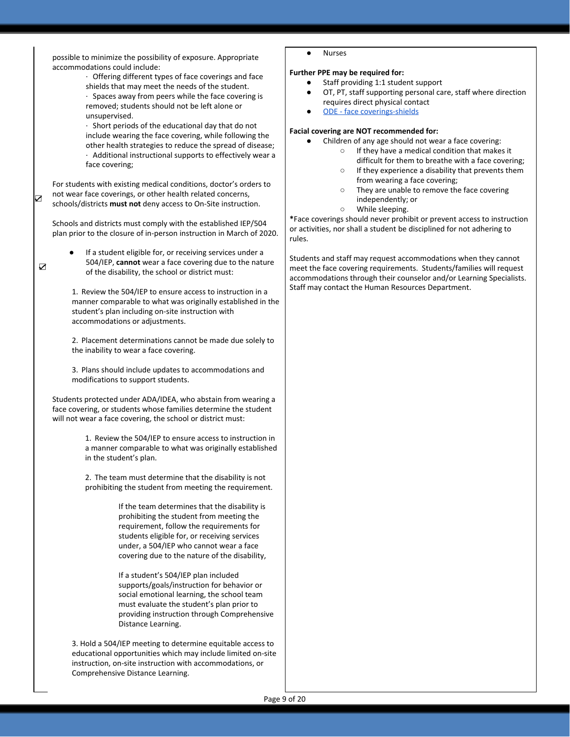possible to minimize the possibility of exposure. Appropriate accommodations could include:

· Offering different types of face coverings and face shields that may meet the needs of the student.

· Spaces away from peers while the face covering is removed; students should not be left alone or unsupervised.

· Short periods of the educational day that do not include wearing the face covering, while following the other health strategies to reduce the spread of disease; · Additional instructional supports to effectively wear a face covering;

For students with existing medical conditions, doctor's orders to not wear face coverings, or other health related concerns, schools/districts **must not** deny access to On-Site instruction.

☑

☑

Schools and districts must comply with the established IEP/504 plan prior to the closure of in-person instruction in March of 2020.

If a student eligible for, or receiving services under a 504/IEP, **cannot** wear a face covering due to the nature of the disability, the school or district must:

1. Review the 504/IEP to ensure access to instruction in a manner comparable to what was originally established in the student's plan including on-site instruction with accommodations or adjustments.

2. Placement determinations cannot be made due solely to the inability to wear a face covering.

3. Plans should include updates to accommodations and modifications to support students.

Students protected under ADA/IDEA, who abstain from wearing a face covering, or students whose families determine the student will not wear a face covering, the school or district must:

> 1. Review the 504/IEP to ensure access to instruction in a manner comparable to what was originally established in the student's plan.

2. The team must determine that the disability is not prohibiting the student from meeting the requirement.

> If the team determines that the disability is prohibiting the student from meeting the requirement, follow the requirements for students eligible for, or receiving services under, a 504/IEP who cannot wear a face covering due to the nature of the disability,

If a student's 504/IEP plan included supports/goals/instruction for behavior or social emotional learning, the school team must evaluate the student's plan prior to providing instruction through Comprehensive Distance Learning.

3. Hold a 504/IEP meeting to determine equitable access to educational opportunities which may include limited on-site instruction, on-site instruction with accommodations, or Comprehensive Distance Learning.

**Nurses** 

#### **Further PPE may be required for:**

- Staff providing 1:1 student support
- OT, PT, staff supporting personal care, staff where direction requires direct physical contact
- [ODE face coverings-shields](https://www.oregon.gov/ode/students-and-family/healthsafety/Documents/COVID19_FAQ_FaceCoveringsPhysicalDistance.pdf)

#### **Facial covering are NOT recommended for:**

- Children of any age should not wear a face covering:
	- If they have a medical condition that makes it difficult for them to breathe with a face covering;
	- If they experience a disability that prevents them from wearing a face covering;
	- They are unable to remove the face covering independently; or
	- While sleeping.

**\***Face coverings should never prohibit or prevent access to instruction or activities, nor shall a student be disciplined for not adhering to rules.

Students and staff may request accommodations when they cannot meet the face covering requirements. Students/families will request accommodations through their counselor and/or Learning Specialists. Staff may contact the Human Resources Department.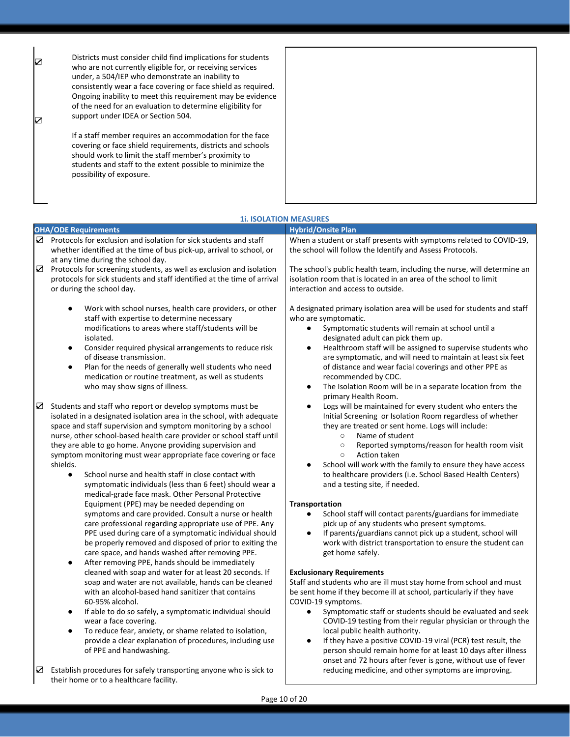| ☑<br>☑ | Districts must consider child find implications for students<br>who are not currently eligible for, or receiving services<br>under, a 504/IEP who demonstrate an inability to<br>consistently wear a face covering or face shield as required.<br>Ongoing inability to meet this requirement may be evidence<br>of the need for an evaluation to determine eligibility for<br>support under IDEA or Section 504. |  |
|--------|------------------------------------------------------------------------------------------------------------------------------------------------------------------------------------------------------------------------------------------------------------------------------------------------------------------------------------------------------------------------------------------------------------------|--|
|        | If a staff member requires an accommodation for the face<br>covering or face shield requirements, districts and schools<br>should work to limit the staff member's proximity to<br>students and staff to the extent possible to minimize the<br>possibility of exposure.                                                                                                                                         |  |

|                  | <b>OHA/ODE Requirements</b>                                                                                                                                                                                                                                                                                                                                                                                                                                                                                                                                                                                   | <b>Hybrid/Onsite Plan</b>                                                                                                                                                                                                                                                                                                                                                                                                                                                                                                                |
|------------------|---------------------------------------------------------------------------------------------------------------------------------------------------------------------------------------------------------------------------------------------------------------------------------------------------------------------------------------------------------------------------------------------------------------------------------------------------------------------------------------------------------------------------------------------------------------------------------------------------------------|------------------------------------------------------------------------------------------------------------------------------------------------------------------------------------------------------------------------------------------------------------------------------------------------------------------------------------------------------------------------------------------------------------------------------------------------------------------------------------------------------------------------------------------|
|                  | $\mathbf Z$ Protocols for exclusion and isolation for sick students and staff                                                                                                                                                                                                                                                                                                                                                                                                                                                                                                                                 | When a student or staff presents with symptoms related to COVID-19,                                                                                                                                                                                                                                                                                                                                                                                                                                                                      |
|                  | whether identified at the time of bus pick-up, arrival to school, or                                                                                                                                                                                                                                                                                                                                                                                                                                                                                                                                          | the school will follow the Identify and Assess Protocols.                                                                                                                                                                                                                                                                                                                                                                                                                                                                                |
|                  | at any time during the school day.                                                                                                                                                                                                                                                                                                                                                                                                                                                                                                                                                                            |                                                                                                                                                                                                                                                                                                                                                                                                                                                                                                                                          |
| $\sum_{i=1}^{n}$ | Protocols for screening students, as well as exclusion and isolation                                                                                                                                                                                                                                                                                                                                                                                                                                                                                                                                          | The school's public health team, including the nurse, will determine an                                                                                                                                                                                                                                                                                                                                                                                                                                                                  |
|                  | protocols for sick students and staff identified at the time of arrival                                                                                                                                                                                                                                                                                                                                                                                                                                                                                                                                       | isolation room that is located in an area of the school to limit                                                                                                                                                                                                                                                                                                                                                                                                                                                                         |
|                  | or during the school day.                                                                                                                                                                                                                                                                                                                                                                                                                                                                                                                                                                                     | interaction and access to outside.                                                                                                                                                                                                                                                                                                                                                                                                                                                                                                       |
|                  | Work with school nurses, health care providers, or other<br>$\bullet$<br>staff with expertise to determine necessary<br>modifications to areas where staff/students will be<br>isolated.<br>Consider required physical arrangements to reduce risk<br>$\bullet$<br>of disease transmission.<br>Plan for the needs of generally well students who need<br>$\bullet$<br>medication or routine treatment, as well as students<br>who may show signs of illness.                                                                                                                                                  | A designated primary isolation area will be used for students and staff<br>who are symptomatic.<br>Symptomatic students will remain at school until a<br>$\bullet$<br>designated adult can pick them up.<br>Healthroom staff will be assigned to supervise students who<br>$\bullet$<br>are symptomatic, and will need to maintain at least six feet<br>of distance and wear facial coverings and other PPE as<br>recommended by CDC.<br>The Isolation Room will be in a separate location from the<br>$\bullet$<br>primary Health Room. |
| ☑                | Students and staff who report or develop symptoms must be<br>isolated in a designated isolation area in the school, with adequate<br>space and staff supervision and symptom monitoring by a school<br>nurse, other school-based health care provider or school staff until<br>they are able to go home. Anyone providing supervision and<br>symptom monitoring must wear appropriate face covering or face<br>shields.<br>School nurse and health staff in close contact with<br>$\bullet$<br>symptomatic individuals (less than 6 feet) should wear a<br>medical-grade face mask. Other Personal Protective | Logs will be maintained for every student who enters the<br>Initial Screening or Isolation Room regardless of whether<br>they are treated or sent home. Logs will include:<br>$\circ$<br>Name of student<br>Reported symptoms/reason for health room visit<br>$\circ$<br>Action taken<br>$\circ$<br>School will work with the family to ensure they have access<br>to healthcare providers (i.e. School Based Health Centers)<br>and a testing site, if needed.                                                                          |
|                  | Equipment (PPE) may be needed depending on                                                                                                                                                                                                                                                                                                                                                                                                                                                                                                                                                                    | Transportation                                                                                                                                                                                                                                                                                                                                                                                                                                                                                                                           |
|                  | symptoms and care provided. Consult a nurse or health<br>care professional regarding appropriate use of PPE. Any<br>PPE used during care of a symptomatic individual should                                                                                                                                                                                                                                                                                                                                                                                                                                   | School staff will contact parents/guardians for immediate<br>$\bullet$<br>pick up of any students who present symptoms.<br>If parents/guardians cannot pick up a student, school will                                                                                                                                                                                                                                                                                                                                                    |
|                  | be properly removed and disposed of prior to exiting the<br>care space, and hands washed after removing PPE.<br>After removing PPE, hands should be immediately<br>$\bullet$                                                                                                                                                                                                                                                                                                                                                                                                                                  | work with district transportation to ensure the student can<br>get home safely.                                                                                                                                                                                                                                                                                                                                                                                                                                                          |
|                  | cleaned with soap and water for at least 20 seconds. If<br>soap and water are not available, hands can be cleaned<br>with an alcohol-based hand sanitizer that contains<br>60-95% alcohol.                                                                                                                                                                                                                                                                                                                                                                                                                    | <b>Exclusionary Requirements</b><br>Staff and students who are ill must stay home from school and must<br>be sent home if they become ill at school, particularly if they have<br>COVID-19 symptoms.                                                                                                                                                                                                                                                                                                                                     |
|                  | If able to do so safely, a symptomatic individual should<br>$\bullet$<br>wear a face covering.<br>To reduce fear, anxiety, or shame related to isolation,<br>$\bullet$                                                                                                                                                                                                                                                                                                                                                                                                                                        | Symptomatic staff or students should be evaluated and seek<br>$\bullet$<br>COVID-19 testing from their regular physician or through the<br>local public health authority.                                                                                                                                                                                                                                                                                                                                                                |
|                  | provide a clear explanation of procedures, including use<br>of PPE and handwashing.                                                                                                                                                                                                                                                                                                                                                                                                                                                                                                                           | If they have a positive COVID-19 viral (PCR) test result, the<br>$\bullet$<br>person should remain home for at least 10 days after illness<br>onset and 72 hours after fever is gone, without use of fever                                                                                                                                                                                                                                                                                                                               |
|                  | $\triangleright$ Establish procedures for safely transporting anyone who is sick to<br>their home or to a healthcare facility.                                                                                                                                                                                                                                                                                                                                                                                                                                                                                | reducing medicine, and other symptoms are improving.                                                                                                                                                                                                                                                                                                                                                                                                                                                                                     |

## **1i. ISOLATION MEASURES**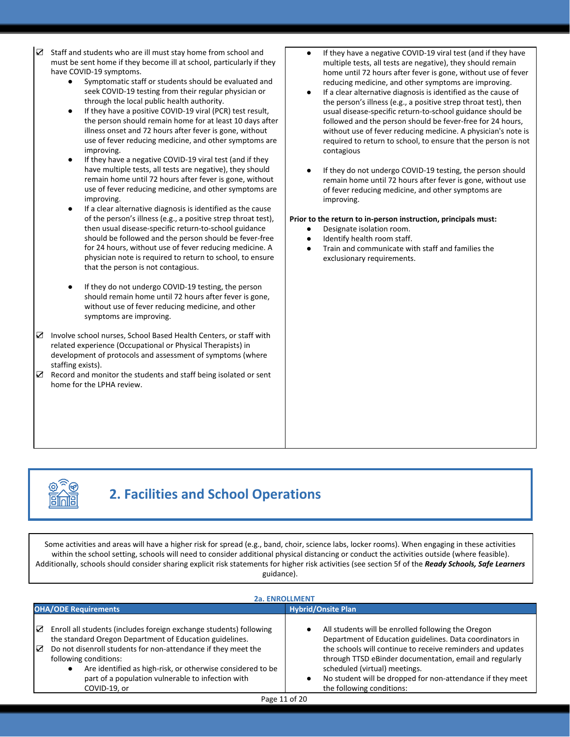- ☑ Staff and students who are ill must stay home from school and must be sent home if they become ill at school, particularly if they have COVID-19 symptoms.
	- Symptomatic staff or students should be evaluated and seek COVID-19 testing from their regular physician or through the local public health authority.
	- If they have a positive COVID-19 viral (PCR) test result, the person should remain home for at least 10 days after illness onset and 72 hours after fever is gone, without use of fever reducing medicine, and other symptoms are improving.
	- If they have a negative COVID-19 viral test (and if they have multiple tests, all tests are negative), they should remain home until 72 hours after fever is gone, without use of fever reducing medicine, and other symptoms are improving.
	- If a clear alternative diagnosis is identified as the cause of the person's illness (e.g., a positive strep throat test), then usual disease-specific return-to-school guidance should be followed and the person should be fever-free for 24 hours, without use of fever reducing medicine. A physician note is required to return to school, to ensure that the person is not contagious.
	- If they do not undergo COVID-19 testing, the person should remain home until 72 hours after fever is gone, without use of fever reducing medicine, and other symptoms are improving.
- ☑ Involve school nurses, School Based Health Centers, or staff with related experience (Occupational or Physical Therapists) in development of protocols and assessment of symptoms (where staffing exists).
- $\triangleright$  Record and monitor the students and staff being isolated or sent home for the LPHA review.
- If they have a negative COVID-19 viral test (and if they have multiple tests, all tests are negative), they should remain home until 72 hours after fever is gone, without use of fever reducing medicine, and other symptoms are improving.
- If a clear alternative diagnosis is identified as the cause of the person's illness (e.g., a positive strep throat test), then usual disease-specific return-to-school guidance should be followed and the person should be fever-free for 24 hours, without use of fever reducing medicine. A physician's note is required to return to school, to ensure that the person is not contagious
- If they do not undergo COVID-19 testing, the person should remain home until 72 hours after fever is gone, without use of fever reducing medicine, and other symptoms are improving.

#### **Prior to the return to in-person instruction, principals must:**

- Designate isolation room.
- Identify health room staff.
- Train and communicate with staff and families the exclusionary requirements.

# **2. Facilities and School Operations**

Some activities and areas will have a higher risk for spread (e.g., band, choir, science labs, locker rooms). When engaging in these activities within the school setting, schools will need to consider additional physical distancing or conduct the activities outside (where feasible). Additionally, schools should consider sharing explicit risk statements for higher risk activities (see section 5f of the *Ready Schools, Safe Learners* guidance).

|        | <b>2a. ENROLLMENT</b>                                                                                                                                                                                                                                                                                                                                      |                                                                                                                                                                                                                                                                                                                                                                     |  |
|--------|------------------------------------------------------------------------------------------------------------------------------------------------------------------------------------------------------------------------------------------------------------------------------------------------------------------------------------------------------------|---------------------------------------------------------------------------------------------------------------------------------------------------------------------------------------------------------------------------------------------------------------------------------------------------------------------------------------------------------------------|--|
|        | <b>OHA/ODE Requirements</b>                                                                                                                                                                                                                                                                                                                                | <b>Hybrid/Onsite Plan</b>                                                                                                                                                                                                                                                                                                                                           |  |
| ☑<br>☑ | Enroll all students (includes foreign exchange students) following<br>the standard Oregon Department of Education guidelines.<br>Do not disenroll students for non-attendance if they meet the<br>following conditions:<br>Are identified as high-risk, or otherwise considered to be<br>part of a population vulnerable to infection with<br>COVID-19, or | All students will be enrolled following the Oregon<br>Department of Education guidelines. Data coordinators in<br>the schools will continue to receive reminders and updates<br>through TTSD eBinder documentation, email and regularly<br>scheduled (virtual) meetings.<br>No student will be dropped for non-attendance if they meet<br>the following conditions: |  |
|        |                                                                                                                                                                                                                                                                                                                                                            | $\sim$ $\sim$                                                                                                                                                                                                                                                                                                                                                       |  |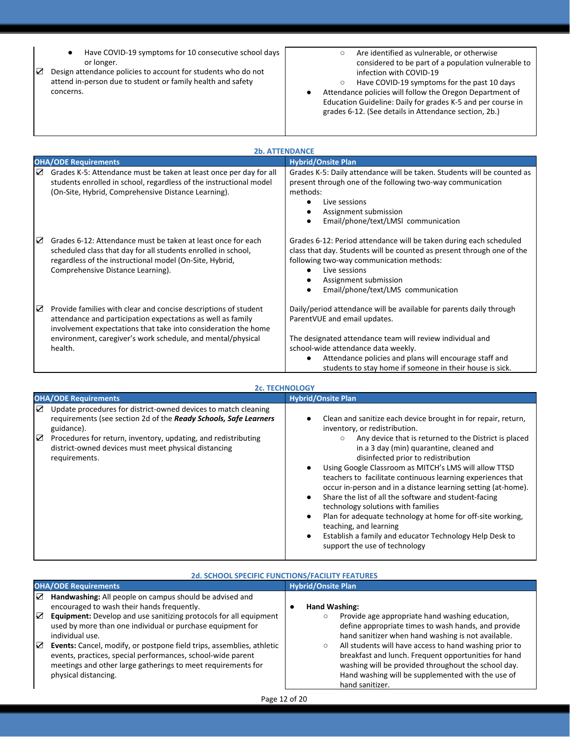- ☑ Design attendance policies to account for students who do not Have COVID-19 symptoms for 10 consecutive school days or longer. attend in-person due to student or family health and safety concerns. ○ Are identified as vulnerable, or otherwise considered to be part of a population vulnerable to infection with COVID-19 ○ Have COVID-19 symptoms for the past 10 days Attendance policies will follow the Oregon Department of Education Guideline: Daily for grades K-5 and per course in grades 6-12. (See details in Attendance section, 2b.) **2b. ATTENDANCE OHA/ODE Requirements Hybrid/Onsite Plan** ☑ Grades K-5: Attendance must be taken at least once per day for all students enrolled in school, regardless of the instructional model (On-Site, Hybrid, Comprehensive Distance Learning). Grades K-5: Daily attendance will be taken. Students will be counted as present through one of the following two-way communication methods: ● Live sessions ● Assignment submission ● Email/phone/text/LMSl communication Grades 6-12: Period attendance will be taken during each scheduled class that day. Students will be counted as present through one of the following two-way communication methods: Live sessions ● Assignment submission ● Email/phone/text/LMS communication Daily/period attendance will be available for parents daily through ParentVUE and email updates. The designated attendance team will review individual and school-wide attendance data weekly. Attendance policies and plans will encourage staff and ☑ Grades 6-12: Attendance must be taken at least once for each scheduled class that day for all students enrolled in school, regardless of the instructional model (On-Site, Hybrid, Comprehensive Distance Learning). ☑ Provide families with clear and concise descriptions of student attendance and participation expectations as well as family involvement expectations that take into consideration the home environment, caregiver's work schedule, and mental/physical health.
	- students to stay home if someone in their house is sick.

| <b>2c. TECHNOLOGY</b>                                                                                                                                                                                                                                                                                 |                                                                                                                                                                                                                                                                                                                                                                                                                                                                                                                                                                                                                                                                                                  |  |
|-------------------------------------------------------------------------------------------------------------------------------------------------------------------------------------------------------------------------------------------------------------------------------------------------------|--------------------------------------------------------------------------------------------------------------------------------------------------------------------------------------------------------------------------------------------------------------------------------------------------------------------------------------------------------------------------------------------------------------------------------------------------------------------------------------------------------------------------------------------------------------------------------------------------------------------------------------------------------------------------------------------------|--|
| <b>OHA/ODE Requirements</b>                                                                                                                                                                                                                                                                           | <b>Hybrid/Onsite Plan</b>                                                                                                                                                                                                                                                                                                                                                                                                                                                                                                                                                                                                                                                                        |  |
| Update procedures for district-owned devices to match cleaning<br>☑<br>requirements (see section 2d of the Ready Schools, Safe Learners<br>guidance).<br>Procedures for return, inventory, updating, and redistributing<br>☑<br>district-owned devices must meet physical distancing<br>requirements. | Clean and sanitize each device brought in for repair, return,<br>inventory, or redistribution.<br>Any device that is returned to the District is placed<br>$\circ$<br>in a 3 day (min) quarantine, cleaned and<br>disinfected prior to redistribution<br>Using Google Classroom as MITCH's LMS will allow TTSD<br>teachers to facilitate continuous learning experiences that<br>occur in-person and in a distance learning setting (at-home).<br>Share the list of all the software and student-facing<br>technology solutions with families<br>Plan for adequate technology at home for off-site working,<br>teaching, and learning<br>Establish a family and educator Technology Help Desk to |  |
|                                                                                                                                                                                                                                                                                                       | support the use of technology                                                                                                                                                                                                                                                                                                                                                                                                                                                                                                                                                                                                                                                                    |  |

| <b>2d. SCHOOL SPECIFIC FUNCTIONS/FACILITY FEATURES</b>                                                                                                                                                                                                                                                                                                                                                                                                                                                       |                                                                                                                                                                                                                                                                                                                                                                                                                                                |  |
|--------------------------------------------------------------------------------------------------------------------------------------------------------------------------------------------------------------------------------------------------------------------------------------------------------------------------------------------------------------------------------------------------------------------------------------------------------------------------------------------------------------|------------------------------------------------------------------------------------------------------------------------------------------------------------------------------------------------------------------------------------------------------------------------------------------------------------------------------------------------------------------------------------------------------------------------------------------------|--|
| <b>OHA/ODE Requirements</b>                                                                                                                                                                                                                                                                                                                                                                                                                                                                                  | <b>Hybrid/Onsite Plan</b>                                                                                                                                                                                                                                                                                                                                                                                                                      |  |
| Handwashing: All people on campus should be advised and<br>☑<br>encouraged to wash their hands frequently.<br> ⊽<br>Equipment: Develop and use sanitizing protocols for all equipment<br>used by more than one individual or purchase equipment for<br>individual use.<br> ⊽<br>Events: Cancel, modify, or postpone field trips, assemblies, athletic<br>events, practices, special performances, school-wide parent<br>meetings and other large gatherings to meet requirements for<br>physical distancing. | Hand Washing:<br>Provide age appropriate hand washing education,<br>O<br>define appropriate times to wash hands, and provide<br>hand sanitizer when hand washing is not available.<br>All students will have access to hand washing prior to<br>$\circ$<br>breakfast and lunch. Frequent opportunities for hand<br>washing will be provided throughout the school day.<br>Hand washing will be supplemented with the use of<br>hand sanitizer. |  |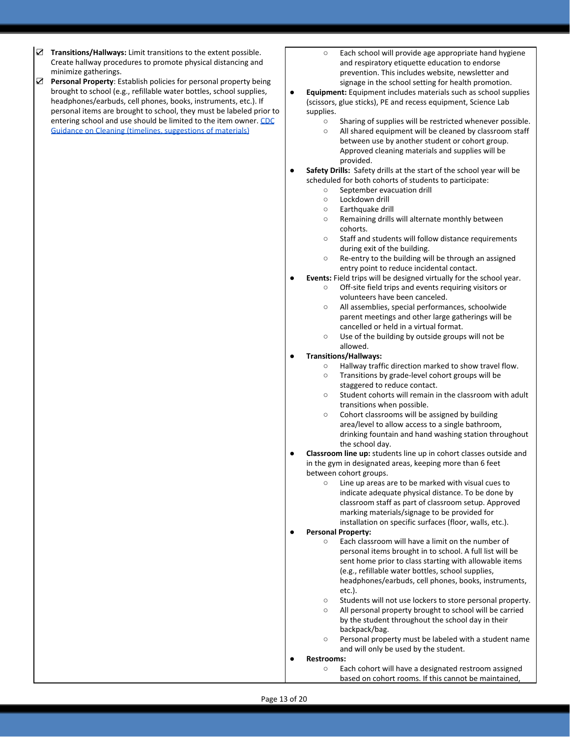- ☑ **Transitions/Hallways:** Limit transitions to the extent possible. Create hallway procedures to promote physical distancing and minimize gatherings.
- ☑ **Personal Property**: Establish policies for personal property being brought to school (e.g., refillable water bottles, school supplies, headphones/earbuds, cell phones, books, instruments, etc.). If personal items are brought to school, they must be labeled prior to entering school and use should be limited to the item owner. [CDC](https://www.cdc.gov/coronavirus/2019-ncov/community/pdf/ReOpening_America_Cleaning_Disinfection_Decision_Tool.pdf) [Guidance on Cleaning \(timelines, suggestions of materials\)](https://www.cdc.gov/coronavirus/2019-ncov/community/pdf/ReOpening_America_Cleaning_Disinfection_Decision_Tool.pdf)
- Each school will provide age appropriate hand hygiene and respiratory etiquette education to endorse prevention. This includes website, newsletter and signage in the school setting for health promotion.
- **Equipment:** Equipment includes materials such as school supplies (scissors, glue sticks), PE and recess equipment, Science Lab supplies.
	- Sharing of supplies will be restricted whenever possible.
	- All shared equipment will be cleaned by classroom staff between use by another student or cohort group. Approved cleaning materials and supplies will be provided.
- Safety Drills: Safety drills at the start of the school year will be scheduled for both cohorts of students to participate:
	- September evacuation drill
	- Lockdown drill
	- Earthquake drill
	- Remaining drills will alternate monthly between cohorts.
	- Staff and students will follow distance requirements during exit of the building.
	- Re-entry to the building will be through an assigned entry point to reduce incidental contact.
- **Events:** Field trips will be designed virtually for the school year.
	- Off-site field trips and events requiring visitors or volunteers have been canceled.
	- All assemblies, special performances, schoolwide parent meetings and other large gatherings will be cancelled or held in a virtual format.
	- Use of the building by outside groups will not be allowed.

#### ● **Transitions/Hallways:**

- Hallway traffic direction marked to show travel flow.
	- Transitions by grade-level cohort groups will be staggered to reduce contact.
	- Student cohorts will remain in the classroom with adult transitions when possible.
	- Cohort classrooms will be assigned by building area/level to allow access to a single bathroom, drinking fountain and hand washing station throughout the school day.
- **Classroom line up:** students line up in cohort classes outside and in the gym in designated areas, keeping more than 6 feet between cohort groups.
	- Line up areas are to be marked with visual cues to indicate adequate physical distance. To be done by classroom staff as part of classroom setup. Approved marking materials/signage to be provided for installation on specific surfaces (floor, walls, etc.).
- **Personal Property:** 
	- Each classroom will have a limit on the number of personal items brought in to school. A full list will be sent home prior to class starting with allowable items (e.g., refillable water bottles, school supplies, headphones/earbuds, cell phones, books, instruments, etc.).
		- Students will not use lockers to store personal property.
		- All personal property brought to school will be carried by the student throughout the school day in their backpack/bag.
		- Personal property must be labeled with a student name and will only be used by the student.
- **Restrooms:**
	- Each cohort will have a designated restroom assigned based on cohort rooms. If this cannot be maintained,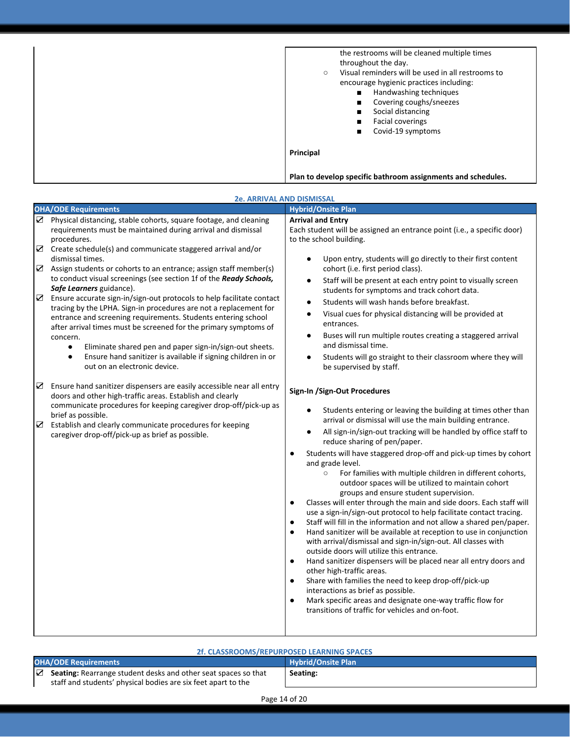| the restrooms will be cleaned multiple times<br>throughout the day.<br>Visual reminders will be used in all restrooms to<br>$\circ$<br>encourage hygienic practices including:<br>Handwashing techniques<br>$\blacksquare$<br>Covering coughs/sneezes<br>$\blacksquare$<br>Social distancing<br>п<br><b>Facial coverings</b><br>п<br>Covid-19 symptoms |
|--------------------------------------------------------------------------------------------------------------------------------------------------------------------------------------------------------------------------------------------------------------------------------------------------------------------------------------------------------|
| Principal                                                                                                                                                                                                                                                                                                                                              |
| Plan to develop specific bathroom assignments and schedules.                                                                                                                                                                                                                                                                                           |

| <b>2e. ARRIVAL AND DISMISSAL</b>                                                                                                                                                                                                                                                                                                                                                                                                                                                                                                                                                                                                                                                                                                                                                                                                                                                                                                                                                                                                                                                                                                                                                                                                                                                                          |                                                                                                                                                                                                                                                                                                                                                                                                                                                                                                                                                                                                                                                                                                                                                                                                                                                                                                                                                                                                                                                                                                                                                                                                                                                                                                                                                                                                                                                                                                                                                                                                                                                                                                                                                                                                                                                                                                                                                                                                                                                        |  |
|-----------------------------------------------------------------------------------------------------------------------------------------------------------------------------------------------------------------------------------------------------------------------------------------------------------------------------------------------------------------------------------------------------------------------------------------------------------------------------------------------------------------------------------------------------------------------------------------------------------------------------------------------------------------------------------------------------------------------------------------------------------------------------------------------------------------------------------------------------------------------------------------------------------------------------------------------------------------------------------------------------------------------------------------------------------------------------------------------------------------------------------------------------------------------------------------------------------------------------------------------------------------------------------------------------------|--------------------------------------------------------------------------------------------------------------------------------------------------------------------------------------------------------------------------------------------------------------------------------------------------------------------------------------------------------------------------------------------------------------------------------------------------------------------------------------------------------------------------------------------------------------------------------------------------------------------------------------------------------------------------------------------------------------------------------------------------------------------------------------------------------------------------------------------------------------------------------------------------------------------------------------------------------------------------------------------------------------------------------------------------------------------------------------------------------------------------------------------------------------------------------------------------------------------------------------------------------------------------------------------------------------------------------------------------------------------------------------------------------------------------------------------------------------------------------------------------------------------------------------------------------------------------------------------------------------------------------------------------------------------------------------------------------------------------------------------------------------------------------------------------------------------------------------------------------------------------------------------------------------------------------------------------------------------------------------------------------------------------------------------------------|--|
| <b>OHA/ODE Requirements</b>                                                                                                                                                                                                                                                                                                                                                                                                                                                                                                                                                                                                                                                                                                                                                                                                                                                                                                                                                                                                                                                                                                                                                                                                                                                                               | <b>Hybrid/Onsite Plan</b>                                                                                                                                                                                                                                                                                                                                                                                                                                                                                                                                                                                                                                                                                                                                                                                                                                                                                                                                                                                                                                                                                                                                                                                                                                                                                                                                                                                                                                                                                                                                                                                                                                                                                                                                                                                                                                                                                                                                                                                                                              |  |
| ☑ Physical distancing, stable cohorts, square footage, and cleaning<br>requirements must be maintained during arrival and dismissal<br>procedures.<br>$\boldsymbol{\nabla}$<br>Create schedule(s) and communicate staggered arrival and/or<br>dismissal times.<br>$\triangleright$ Assign students or cohorts to an entrance; assign staff member(s)<br>to conduct visual screenings (see section 1f of the Ready Schools,<br>Safe Learners guidance).<br>☑<br>Ensure accurate sign-in/sign-out protocols to help facilitate contact<br>tracing by the LPHA. Sign-in procedures are not a replacement for<br>entrance and screening requirements. Students entering school<br>after arrival times must be screened for the primary symptoms of<br>concern.<br>Eliminate shared pen and paper sign-in/sign-out sheets.<br>$\bullet$<br>Ensure hand sanitizer is available if signing children in or<br>$\bullet$<br>out on an electronic device.<br>☑<br>Ensure hand sanitizer dispensers are easily accessible near all entry<br>doors and other high-traffic areas. Establish and clearly<br>communicate procedures for keeping caregiver drop-off/pick-up as<br>brief as possible.<br>☑<br>Establish and clearly communicate procedures for keeping<br>caregiver drop-off/pick-up as brief as possible. | <b>Arrival and Entry</b><br>Each student will be assigned an entrance point (i.e., a specific door)<br>to the school building.<br>Upon entry, students will go directly to their first content<br>cohort (i.e. first period class).<br>Staff will be present at each entry point to visually screen<br>٠<br>students for symptoms and track cohort data.<br>Students will wash hands before breakfast.<br>$\bullet$<br>Visual cues for physical distancing will be provided at<br>$\bullet$<br>entrances.<br>Buses will run multiple routes creating a staggered arrival<br>$\bullet$<br>and dismissal time.<br>Students will go straight to their classroom where they will<br>be supervised by staff.<br>Sign-In /Sign-Out Procedures<br>Students entering or leaving the building at times other than<br>arrival or dismissal will use the main building entrance.<br>All sign-in/sign-out tracking will be handled by office staff to<br>reduce sharing of pen/paper.<br>Students will have staggered drop-off and pick-up times by cohort<br>and grade level.<br>$\circ$<br>For families with multiple children in different cohorts,<br>outdoor spaces will be utilized to maintain cohort<br>groups and ensure student supervision.<br>Classes will enter through the main and side doors. Each staff will<br>$\bullet$<br>use a sign-in/sign-out protocol to help facilitate contact tracing.<br>Staff will fill in the information and not allow a shared pen/paper.<br>$\bullet$<br>Hand sanitizer will be available at reception to use in conjunction<br>$\bullet$<br>with arrival/dismissal and sign-in/sign-out. All classes with<br>outside doors will utilize this entrance.<br>Hand sanitizer dispensers will be placed near all entry doors and<br>$\bullet$<br>other high-traffic areas.<br>Share with families the need to keep drop-off/pick-up<br>$\bullet$<br>interactions as brief as possible.<br>Mark specific areas and designate one-way traffic flow for<br>$\bullet$<br>transitions of traffic for vehicles and on-foot. |  |

### **2f. CLASSROOMS/REPURPOSED LEARNING SPACES**

| <b>OHA/ODE Requirements</b>                                                                                                                             | <b>Hybrid/Onsite Plan</b> |
|---------------------------------------------------------------------------------------------------------------------------------------------------------|---------------------------|
| $\triangleright$ <b>Seating:</b> Rearrange student desks and other seat spaces so that<br>staff and students' physical bodies are six feet apart to the | Seating:                  |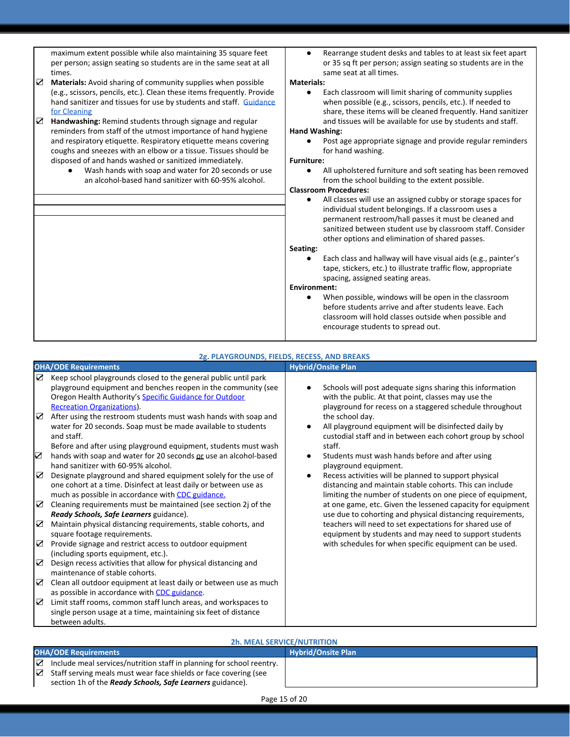maximum extent possible while also maintaining 35 square feet per person; assign seating so students are in the same seat at all times.

- ☑ **Materials:** Avoid sharing of community supplies when possible (e.g., scissors, pencils, etc.). Clean these items frequently. Provide hand sanitizer and tissues for use by students and staff. [Guidance](https://www.cdc.gov/coronavirus/2019-ncov/community/pdf/ReOpening_America_Cleaning_Disinfection_Decision_Tool.pdf) [for Cleaning](https://www.cdc.gov/coronavirus/2019-ncov/community/pdf/ReOpening_America_Cleaning_Disinfection_Decision_Tool.pdf)
- ☑ **Handwashing:** Remind students through signage and regular reminders from staff of the utmost importance of hand hygiene and respiratory etiquette. Respiratory etiquette means covering coughs and sneezes with an elbow or a tissue. Tissues should be disposed of and hands washed or sanitized immediately.
	- Wash hands with soap and water for 20 seconds or use an alcohol-based hand sanitizer with 60-95% alcohol.

**●** Rearrange student desks and tables to at least six feet apart or 35 sq ft per person; assign seating so students are in the same seat at all times.

#### **Materials:**

Each classroom will limit sharing of community supplies when possible (e.g., scissors, pencils, etc.). If needed to share, these items will be cleaned frequently. Hand sanitizer and tissues will be available for use by students and staff.

#### **Hand Washing:**

Post age appropriate signage and provide regular reminders for hand washing.

#### **Furniture:**

All upholstered furniture and soft seating has been removed from the school building to the extent possible.

### **Classroom Procedures:**

**●** All classes will use an assigned cubby or storage spaces for individual student belongings. If a classroom uses a permanent restroom/hall passes it must be cleaned and sanitized between student use by classroom staff. Consider other options and elimination of shared passes.

#### **Seating:**

Each class and hallway will have visual aids (e.g., painter's tape, stickers, etc.) to illustrate traffic flow, appropriate spacing, assigned seating areas.

#### **Environment:**

When possible, windows will be open in the classroom before students arrive and after students leave. Each classroom will hold classes outside when possible and encourage students to spread out.

|                  | 2g. PLAYGROUNDS, FIELDS, RECESS, AND BREAKS                                                                                                                                                                                                                                                                                                                                                                                                                                                                                                                                                                                                                                                              |                                                                                                                                                                                                                                                                                                                                                                                                                                                                                                                                   |  |
|------------------|----------------------------------------------------------------------------------------------------------------------------------------------------------------------------------------------------------------------------------------------------------------------------------------------------------------------------------------------------------------------------------------------------------------------------------------------------------------------------------------------------------------------------------------------------------------------------------------------------------------------------------------------------------------------------------------------------------|-----------------------------------------------------------------------------------------------------------------------------------------------------------------------------------------------------------------------------------------------------------------------------------------------------------------------------------------------------------------------------------------------------------------------------------------------------------------------------------------------------------------------------------|--|
|                  | <b>OHA/ODE Requirements</b>                                                                                                                                                                                                                                                                                                                                                                                                                                                                                                                                                                                                                                                                              | <b>Hybrid/Onsite Plan</b>                                                                                                                                                                                                                                                                                                                                                                                                                                                                                                         |  |
| ☑<br>☑<br>☑<br>☑ | Keep school playgrounds closed to the general public until park<br>playground equipment and benches reopen in the community (see<br>Oregon Health Authority's Specific Guidance for Outdoor<br><b>Recreation Organizations</b> ).<br>After using the restroom students must wash hands with soap and<br>water for 20 seconds. Soap must be made available to students<br>and staff.<br>Before and after using playground equipment, students must wash<br>hands with soap and water for 20 seconds or use an alcohol-based<br>hand sanitizer with 60-95% alcohol.<br>Designate playground and shared equipment solely for the use of<br>one cohort at a time. Disinfect at least daily or between use as | Schools will post adequate signs sharing this information<br>with the public. At that point, classes may use the<br>playground for recess on a staggered schedule throughout<br>the school day.<br>All playground equipment will be disinfected daily by<br>custodial staff and in between each cohort group by school<br>staff.<br>Students must wash hands before and after using<br>playground equipment.<br>Recess activities will be planned to support physical<br>distancing and maintain stable cohorts. This can include |  |
| ☑<br>☑           | much as possible in accordance with CDC guidance.<br>Cleaning requirements must be maintained (see section 2j of the<br>Ready Schools, Safe Learners guidance).<br>Maintain physical distancing requirements, stable cohorts, and                                                                                                                                                                                                                                                                                                                                                                                                                                                                        | limiting the number of students on one piece of equipment,<br>at one game, etc. Given the lessened capacity for equipment<br>use due to cohorting and physical distancing requirements,<br>teachers will need to set expectations for shared use of                                                                                                                                                                                                                                                                               |  |
| ☑                | square footage requirements.<br>Provide signage and restrict access to outdoor equipment<br>(including sports equipment, etc.).                                                                                                                                                                                                                                                                                                                                                                                                                                                                                                                                                                          | equipment by students and may need to support students<br>with schedules for when specific equipment can be used.                                                                                                                                                                                                                                                                                                                                                                                                                 |  |
| ☑                | Design recess activities that allow for physical distancing and<br>maintenance of stable cohorts.                                                                                                                                                                                                                                                                                                                                                                                                                                                                                                                                                                                                        |                                                                                                                                                                                                                                                                                                                                                                                                                                                                                                                                   |  |
| ☑                | Clean all outdoor equipment at least daily or between use as much<br>as possible in accordance with CDC guidance.                                                                                                                                                                                                                                                                                                                                                                                                                                                                                                                                                                                        |                                                                                                                                                                                                                                                                                                                                                                                                                                                                                                                                   |  |
| ☑                | Limit staff rooms, common staff lunch areas, and workspaces to<br>single person usage at a time, maintaining six feet of distance<br>between adults.                                                                                                                                                                                                                                                                                                                                                                                                                                                                                                                                                     |                                                                                                                                                                                                                                                                                                                                                                                                                                                                                                                                   |  |

### **2h. MEAL SERVICE/NUTRITION**

#### **OHA/ODE Requirements Hybrid/Onsite Plan**

- ☑ Include meal services/nutrition staff in planning for school reentry.
- ☑ Staff serving meals must wear face shields or face covering (see section 1h of the *Ready Schools, Safe Learners* guidance).

Page 15 of 20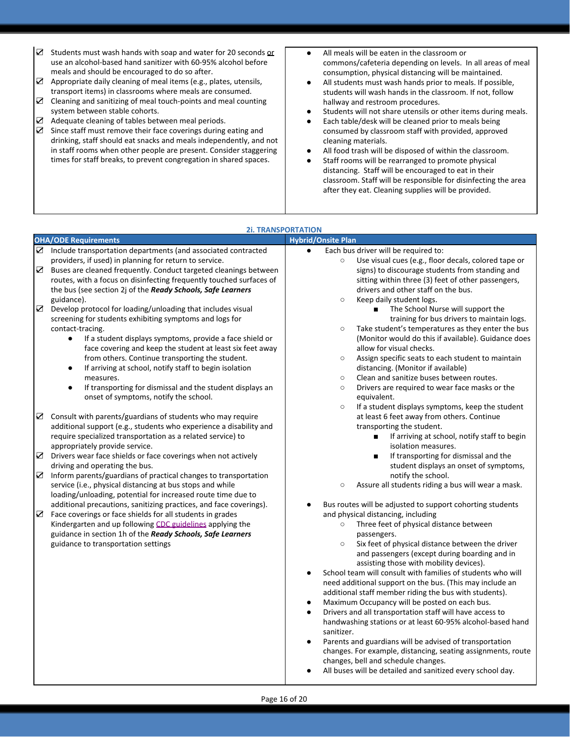☑ Students must wash hands with soap and water for 20 seconds or use an alcohol-based hand sanitizer with 60-95% alcohol before meals and should be encouraged to do so after. ● All meals will be eaten in the classroom or commons/cafeteria depending on levels. In all areas of meal consumption, physical distancing will be maintained. ● All students must wash hands prior to meals. If possible, students will wash hands in the classroom. If not, follow hallway and restroom procedures. ● Students will not share utensils or other items during meals. ● Each table/desk will be cleaned prior to meals being consumed by classroom staff with provided, approved cleaning materials. ☑ Appropriate daily cleaning of meal items (e.g., plates, utensils, transport items) in classrooms where meals are consumed. ☑ Cleaning and sanitizing of meal touch-points and meal counting system between stable cohorts. ☑ Adequate cleaning of tables between meal periods. ☑ Since staff must remove their face coverings during eating and drinking, staff should eat snacks and meals independently, and not

in staff rooms when other people are present. Consider staggering times for staff breaks, to prevent congregation in shared spaces.

- All food trash will be disposed of within the classroom.
- Staff rooms will be rearranged to promote physical distancing. Staff will be encouraged to eat in their classroom. Staff will be responsible for disinfecting the area

|                                 |                                                                                                                                                                                                                                                                                                                                                                                                                                                                                                                                                                                                                                                                                                                                                                                                                                                                                                                                                                                                                                                                                                                                                                                                                                                                                                                                                                                                                                                                                                                                                                                                                                                                                                                  | after they eat. Cleaning supplies will be provided.                                                                                                                                                                                                                                                                                                                                                                                                                                                                                                                                                                                                                                                                                                                                                                                                                                                                                                                                                                                                                                                                                                                                                                                                                                                                                                                                                                                                                                                                                                                                                                                                                                                                                                                                                                                                                                                                                                                                                                                                                                     |
|---------------------------------|------------------------------------------------------------------------------------------------------------------------------------------------------------------------------------------------------------------------------------------------------------------------------------------------------------------------------------------------------------------------------------------------------------------------------------------------------------------------------------------------------------------------------------------------------------------------------------------------------------------------------------------------------------------------------------------------------------------------------------------------------------------------------------------------------------------------------------------------------------------------------------------------------------------------------------------------------------------------------------------------------------------------------------------------------------------------------------------------------------------------------------------------------------------------------------------------------------------------------------------------------------------------------------------------------------------------------------------------------------------------------------------------------------------------------------------------------------------------------------------------------------------------------------------------------------------------------------------------------------------------------------------------------------------------------------------------------------------|-----------------------------------------------------------------------------------------------------------------------------------------------------------------------------------------------------------------------------------------------------------------------------------------------------------------------------------------------------------------------------------------------------------------------------------------------------------------------------------------------------------------------------------------------------------------------------------------------------------------------------------------------------------------------------------------------------------------------------------------------------------------------------------------------------------------------------------------------------------------------------------------------------------------------------------------------------------------------------------------------------------------------------------------------------------------------------------------------------------------------------------------------------------------------------------------------------------------------------------------------------------------------------------------------------------------------------------------------------------------------------------------------------------------------------------------------------------------------------------------------------------------------------------------------------------------------------------------------------------------------------------------------------------------------------------------------------------------------------------------------------------------------------------------------------------------------------------------------------------------------------------------------------------------------------------------------------------------------------------------------------------------------------------------------------------------------------------------|
| <b>2i. TRANSPORTATION</b>       |                                                                                                                                                                                                                                                                                                                                                                                                                                                                                                                                                                                                                                                                                                                                                                                                                                                                                                                                                                                                                                                                                                                                                                                                                                                                                                                                                                                                                                                                                                                                                                                                                                                                                                                  |                                                                                                                                                                                                                                                                                                                                                                                                                                                                                                                                                                                                                                                                                                                                                                                                                                                                                                                                                                                                                                                                                                                                                                                                                                                                                                                                                                                                                                                                                                                                                                                                                                                                                                                                                                                                                                                                                                                                                                                                                                                                                         |
|                                 | <b>OHA/ODE Requirements</b>                                                                                                                                                                                                                                                                                                                                                                                                                                                                                                                                                                                                                                                                                                                                                                                                                                                                                                                                                                                                                                                                                                                                                                                                                                                                                                                                                                                                                                                                                                                                                                                                                                                                                      | <b>Hybrid/Onsite Plan</b>                                                                                                                                                                                                                                                                                                                                                                                                                                                                                                                                                                                                                                                                                                                                                                                                                                                                                                                                                                                                                                                                                                                                                                                                                                                                                                                                                                                                                                                                                                                                                                                                                                                                                                                                                                                                                                                                                                                                                                                                                                                               |
| ☑<br>☑<br>☑<br>☑<br>☑<br>☑<br>☑ | Include transportation departments (and associated contracted<br>providers, if used) in planning for return to service.<br>Buses are cleaned frequently. Conduct targeted cleanings between<br>routes, with a focus on disinfecting frequently touched surfaces of<br>the bus (see section 2j of the Ready Schools, Safe Learners<br>guidance).<br>Develop protocol for loading/unloading that includes visual<br>screening for students exhibiting symptoms and logs for<br>contact-tracing.<br>If a student displays symptoms, provide a face shield or<br>$\bullet$<br>face covering and keep the student at least six feet away<br>from others. Continue transporting the student.<br>If arriving at school, notify staff to begin isolation<br>measures.<br>If transporting for dismissal and the student displays an<br>onset of symptoms, notify the school.<br>Consult with parents/guardians of students who may require<br>additional support (e.g., students who experience a disability and<br>require specialized transportation as a related service) to<br>appropriately provide service.<br>Drivers wear face shields or face coverings when not actively<br>driving and operating the bus.<br>Inform parents/guardians of practical changes to transportation<br>service (i.e., physical distancing at bus stops and while<br>loading/unloading, potential for increased route time due to<br>additional precautions, sanitizing practices, and face coverings).<br>Face coverings or face shields for all students in grades<br>Kindergarten and up following CDC guidelines applying the<br>guidance in section 1h of the Ready Schools, Safe Learners<br>guidance to transportation settings | Each bus driver will be required to:<br>$\bullet$<br>Use visual cues (e.g., floor decals, colored tape or<br>$\circ$<br>signs) to discourage students from standing and<br>sitting within three (3) feet of other passengers,<br>drivers and other staff on the bus.<br>Keep daily student logs.<br>$\circ$<br>The School Nurse will support the<br>training for bus drivers to maintain logs.<br>Take student's temperatures as they enter the bus<br>$\circ$<br>(Monitor would do this if available). Guidance does<br>allow for visual checks.<br>Assign specific seats to each student to maintain<br>$\circ$<br>distancing. (Monitor if available)<br>Clean and sanitize buses between routes.<br>$\circ$<br>Drivers are required to wear face masks or the<br>$\circ$<br>equivalent.<br>If a student displays symptoms, keep the student<br>$\circ$<br>at least 6 feet away from others. Continue<br>transporting the student.<br>If arriving at school, notify staff to begin<br>п<br>isolation measures.<br>If transporting for dismissal and the<br>п<br>student displays an onset of symptoms,<br>notify the school.<br>Assure all students riding a bus will wear a mask.<br>$\circ$<br>Bus routes will be adjusted to support cohorting students<br>٠<br>and physical distancing, including<br>Three feet of physical distance between<br>$\circ$<br>passengers.<br>Six feet of physical distance between the driver<br>$\circ$<br>and passengers (except during boarding and in<br>assisting those with mobility devices).<br>School team will consult with families of students who will<br>$\bullet$<br>need additional support on the bus. (This may include an<br>additional staff member riding the bus with students).<br>Maximum Occupancy will be posted on each bus.<br>Drivers and all transportation staff will have access to<br>$\bullet$<br>handwashing stations or at least 60-95% alcohol-based hand<br>sanitizer.<br>Parents and guardians will be advised of transportation<br>$\bullet$<br>changes. For example, distancing, seating assignments, route |
|                                 |                                                                                                                                                                                                                                                                                                                                                                                                                                                                                                                                                                                                                                                                                                                                                                                                                                                                                                                                                                                                                                                                                                                                                                                                                                                                                                                                                                                                                                                                                                                                                                                                                                                                                                                  | changes, bell and schedule changes.<br>All buses will be detailed and sanitized every school day.<br>٠                                                                                                                                                                                                                                                                                                                                                                                                                                                                                                                                                                                                                                                                                                                                                                                                                                                                                                                                                                                                                                                                                                                                                                                                                                                                                                                                                                                                                                                                                                                                                                                                                                                                                                                                                                                                                                                                                                                                                                                  |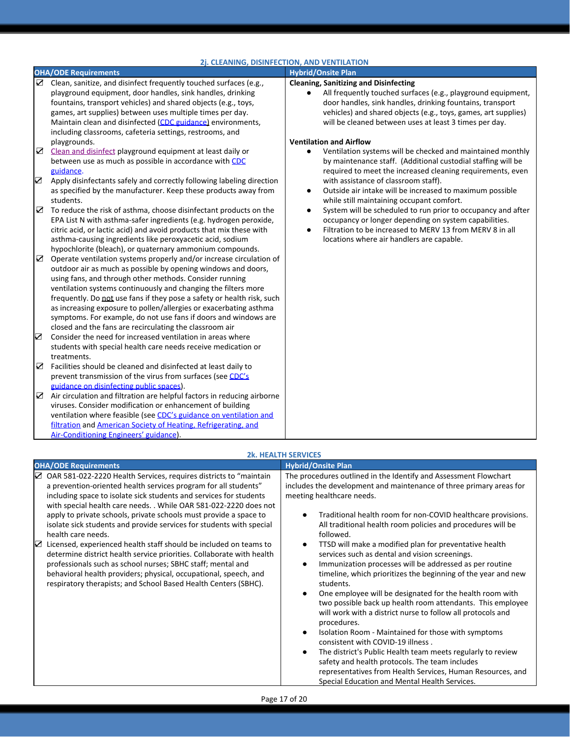|                  | 2j. CLEANING, DISINFECTION, AND VENTILATION                                                                                                                                                                                                                                                                                                                                                                                                                                                                                                    |                                                                                                                                                                                                                                                                                                       |  |
|------------------|------------------------------------------------------------------------------------------------------------------------------------------------------------------------------------------------------------------------------------------------------------------------------------------------------------------------------------------------------------------------------------------------------------------------------------------------------------------------------------------------------------------------------------------------|-------------------------------------------------------------------------------------------------------------------------------------------------------------------------------------------------------------------------------------------------------------------------------------------------------|--|
|                  | <b>OHA/ODE Requirements</b>                                                                                                                                                                                                                                                                                                                                                                                                                                                                                                                    | <b>Hybrid/Onsite Plan</b>                                                                                                                                                                                                                                                                             |  |
|                  | $\boxtimes$ Clean, sanitize, and disinfect frequently touched surfaces (e.g.,<br>playground equipment, door handles, sink handles, drinking<br>fountains, transport vehicles) and shared objects (e.g., toys,<br>games, art supplies) between uses multiple times per day.<br>Maintain clean and disinfected (CDC guidance) environments,<br>including classrooms, cafeteria settings, restrooms, and                                                                                                                                          | <b>Cleaning, Sanitizing and Disinfecting</b><br>All frequently touched surfaces (e.g., playground equipment,<br>door handles, sink handles, drinking fountains, transport<br>vehicles) and shared objects (e.g., toys, games, art supplies)<br>will be cleaned between uses at least 3 times per day. |  |
| $\sum_{i=1}^{n}$ | playgrounds.<br>Clean and disinfect playground equipment at least daily or<br>between use as much as possible in accordance with CDC                                                                                                                                                                                                                                                                                                                                                                                                           | <b>Ventilation and Airflow</b><br>Ventilation systems will be checked and maintained monthly<br>by maintenance staff. (Additional custodial staffing will be                                                                                                                                          |  |
| ☑                | guidance.<br>Apply disinfectants safely and correctly following labeling direction<br>as specified by the manufacturer. Keep these products away from<br>students.                                                                                                                                                                                                                                                                                                                                                                             | required to meet the increased cleaning requirements, even<br>with assistance of classroom staff).<br>Outside air intake will be increased to maximum possible<br>while still maintaining occupant comfort.                                                                                           |  |
| ☑                | To reduce the risk of asthma, choose disinfectant products on the<br>EPA List N with asthma-safer ingredients (e.g. hydrogen peroxide,<br>citric acid, or lactic acid) and avoid products that mix these with<br>asthma-causing ingredients like peroxyacetic acid, sodium<br>hypochlorite (bleach), or quaternary ammonium compounds.                                                                                                                                                                                                         | System will be scheduled to run prior to occupancy and after<br>$\bullet$<br>occupancy or longer depending on system capabilities.<br>Filtration to be increased to MERV 13 from MERV 8 in all<br>locations where air handlers are capable.                                                           |  |
| ☑                | Operate ventilation systems properly and/or increase circulation of<br>outdoor air as much as possible by opening windows and doors,<br>using fans, and through other methods. Consider running<br>ventilation systems continuously and changing the filters more<br>frequently. Do not use fans if they pose a safety or health risk, such<br>as increasing exposure to pollen/allergies or exacerbating asthma<br>symptoms. For example, do not use fans if doors and windows are<br>closed and the fans are recirculating the classroom air |                                                                                                                                                                                                                                                                                                       |  |
| ☑                | Consider the need for increased ventilation in areas where<br>students with special health care needs receive medication or<br>treatments.                                                                                                                                                                                                                                                                                                                                                                                                     |                                                                                                                                                                                                                                                                                                       |  |
| ☑                | Facilities should be cleaned and disinfected at least daily to<br>prevent transmission of the virus from surfaces (see CDC's<br>guidance on disinfecting public spaces).                                                                                                                                                                                                                                                                                                                                                                       |                                                                                                                                                                                                                                                                                                       |  |
| ☑                | Air circulation and filtration are helpful factors in reducing airborne<br>viruses. Consider modification or enhancement of building<br>ventilation where feasible (see CDC's guidance on ventilation and<br>filtration and American Society of Heating, Refrigerating, and<br>Air-Conditioning Engineers' guidance).                                                                                                                                                                                                                          |                                                                                                                                                                                                                                                                                                       |  |

#### **OHA/ODE Requirements Hybrid/Onsite Plan** ☑ OAR 581-022-2220 Health Services, requires districts to "maintain a prevention-oriented health services program for all students" including space to isolate sick students and services for students with special health care needs. . While OAR 581-022-2220 does not apply to private schools, private schools must provide a space to isolate sick students and provide services for students with special health care needs. The procedures outlined in the Identify and Assessment Flowchart includes the development and maintenance of three primary areas for meeting healthcare needs. ● Traditional health room for non-COVID healthcare provisions. All traditional health room policies and procedures will be followed. ● TTSD will make a modified plan for preventative health services such as dental and vision screenings. Immunization processes will be addressed as per routine timeline, which prioritizes the beginning of the year and new students. One employee will be designated for the health room with two possible back up health room attendants. This employee will work with a district nurse to follow all protocols and procedures. Isolation Room - Maintained for those with symptoms consistent with COVID-19 illness . The district's Public Health team meets regularly to review safety and health protocols. The team includes representatives from Health Services, Human Resources, and Special Education and Mental Health Services. ☑ Licensed, experienced health staff should be included on teams to determine district health service priorities. Collaborate with health professionals such as school nurses; SBHC staff; mental and behavioral health providers; physical, occupational, speech, and respiratory therapists; and School Based Health Centers (SBHC).

**2k. HEALTH SERVICES**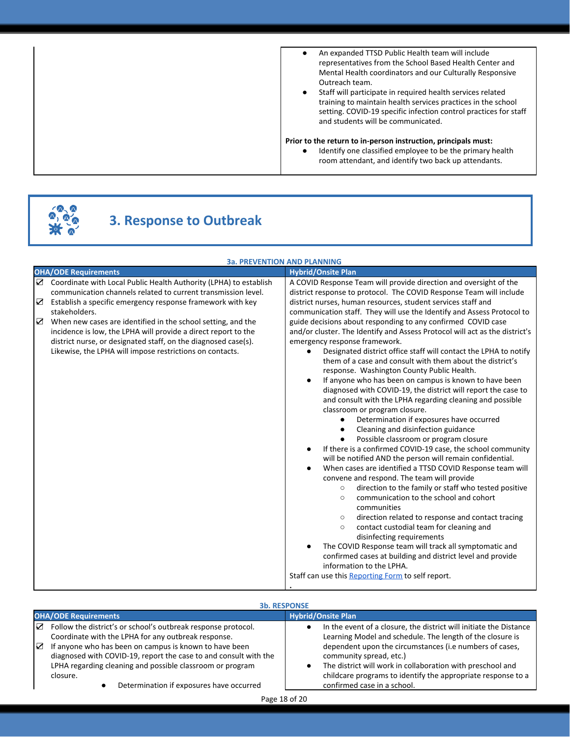| An expanded TTSD Public Health team will include<br>representatives from the School Based Health Center and<br>Mental Health coordinators and our Culturally Responsive<br>Outreach team.<br>Staff will participate in required health services related<br>training to maintain health services practices in the school<br>setting. COVID-19 specific infection control practices for staff<br>and students will be communicated.<br>Prior to the return to in-person instruction, principals must:<br>Identify one classified employee to be the primary health<br>room attendant, and identify two back up attendants. |
|--------------------------------------------------------------------------------------------------------------------------------------------------------------------------------------------------------------------------------------------------------------------------------------------------------------------------------------------------------------------------------------------------------------------------------------------------------------------------------------------------------------------------------------------------------------------------------------------------------------------------|
|                                                                                                                                                                                                                                                                                                                                                                                                                                                                                                                                                                                                                          |

# **3. Response to Outbreak**

|             | <b>3a. PREVENTION AND PLANNING</b>                                                                                                                                                                                                                                                                                                                                                                                                                                                |                                                                                                                                                                                                                                                                                                                                                                                                                                                                                                                                                                                                                                                                                                                                                                                                                                                                                                                                                                                                                                                                                                                                                                                                                                                                                                                                                                                                                                                                                                                                                                                                                                                                                                                                                                           |  |
|-------------|-----------------------------------------------------------------------------------------------------------------------------------------------------------------------------------------------------------------------------------------------------------------------------------------------------------------------------------------------------------------------------------------------------------------------------------------------------------------------------------|---------------------------------------------------------------------------------------------------------------------------------------------------------------------------------------------------------------------------------------------------------------------------------------------------------------------------------------------------------------------------------------------------------------------------------------------------------------------------------------------------------------------------------------------------------------------------------------------------------------------------------------------------------------------------------------------------------------------------------------------------------------------------------------------------------------------------------------------------------------------------------------------------------------------------------------------------------------------------------------------------------------------------------------------------------------------------------------------------------------------------------------------------------------------------------------------------------------------------------------------------------------------------------------------------------------------------------------------------------------------------------------------------------------------------------------------------------------------------------------------------------------------------------------------------------------------------------------------------------------------------------------------------------------------------------------------------------------------------------------------------------------------------|--|
|             | <b>OHA/ODE Requirements</b>                                                                                                                                                                                                                                                                                                                                                                                                                                                       | <b>Hybrid/Onsite Plan</b>                                                                                                                                                                                                                                                                                                                                                                                                                                                                                                                                                                                                                                                                                                                                                                                                                                                                                                                                                                                                                                                                                                                                                                                                                                                                                                                                                                                                                                                                                                                                                                                                                                                                                                                                                 |  |
| ☑<br>☑<br>☑ | Coordinate with Local Public Health Authority (LPHA) to establish<br>communication channels related to current transmission level.<br>Establish a specific emergency response framework with key<br>stakeholders.<br>When new cases are identified in the school setting, and the<br>incidence is low, the LPHA will provide a direct report to the<br>district nurse, or designated staff, on the diagnosed case(s).<br>Likewise, the LPHA will impose restrictions on contacts. | A COVID Response Team will provide direction and oversight of the<br>district response to protocol. The COVID Response Team will include<br>district nurses, human resources, student services staff and<br>communication staff. They will use the Identify and Assess Protocol to<br>guide decisions about responding to any confirmed COVID case<br>and/or cluster. The Identify and Assess Protocol will act as the district's<br>emergency response framework.<br>Designated district office staff will contact the LPHA to notify<br>them of a case and consult with them about the district's<br>response. Washington County Public Health.<br>If anyone who has been on campus is known to have been<br>diagnosed with COVID-19, the district will report the case to<br>and consult with the LPHA regarding cleaning and possible<br>classroom or program closure.<br>Determination if exposures have occurred<br>$\bullet$<br>Cleaning and disinfection guidance<br>$\bullet$<br>Possible classroom or program closure<br>If there is a confirmed COVID-19 case, the school community<br>will be notified AND the person will remain confidential.<br>When cases are identified a TTSD COVID Response team will<br>convene and respond. The team will provide<br>direction to the family or staff who tested positive<br>$\circ$<br>communication to the school and cohort<br>$\circ$<br>communities<br>direction related to response and contact tracing<br>$\circ$<br>contact custodial team for cleaning and<br>$\circ$<br>disinfecting requirements<br>The COVID Response team will track all symptomatic and<br>confirmed cases at building and district level and provide<br>information to the LPHA.<br>Staff can use this Reporting Form to self report. |  |

## **3b. RESPONSE**

| <b>OHA/ODE Requirements</b> |                                                                                                               | <b>Hybrid/Onsite Plan</b> |                                                                                                                      |
|-----------------------------|---------------------------------------------------------------------------------------------------------------|---------------------------|----------------------------------------------------------------------------------------------------------------------|
| ☑                           | Follow the district's or school's outbreak response protocol.                                                 |                           | In the event of a closure, the district will initiate the Distance                                                   |
| ☑                           | Coordinate with the LPHA for any outbreak response.<br>If anyone who has been on campus is known to have been |                           | Learning Model and schedule. The length of the closure is<br>dependent upon the circumstances (i.e numbers of cases, |
|                             | diagnosed with COVID-19, report the case to and consult with the                                              |                           | community spread, etc.)                                                                                              |
|                             | LPHA regarding cleaning and possible classroom or program                                                     |                           | The district will work in collaboration with preschool and                                                           |
|                             | closure.                                                                                                      |                           | childcare programs to identify the appropriate response to a                                                         |
|                             | Determination if exposures have occurred                                                                      |                           | confirmed case in a school.                                                                                          |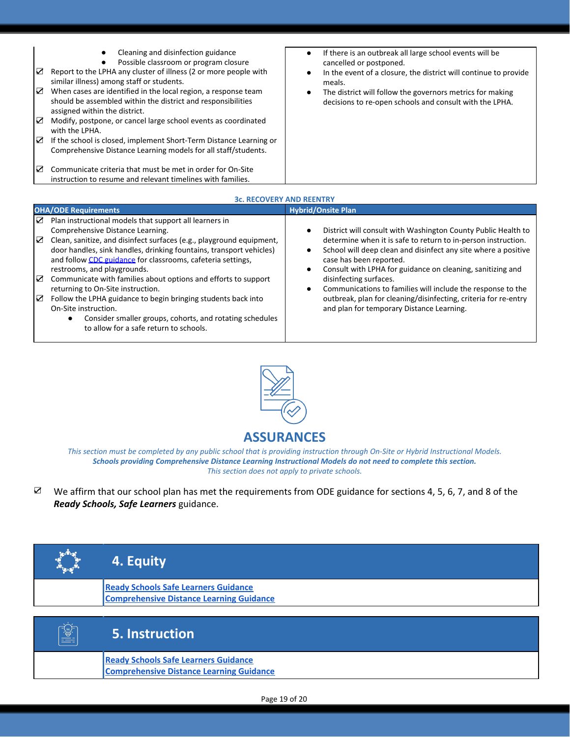| ☑ | Cleaning and disinfection guidance<br>Possible classroom or program closure<br>Report to the LPHA any cluster of illness (2 or more people with                 | If there is an outbreak all large school events will be<br>$\bullet$<br>cancelled or postponed.                      |
|---|-----------------------------------------------------------------------------------------------------------------------------------------------------------------|----------------------------------------------------------------------------------------------------------------------|
|   | similar illness) among staff or students.                                                                                                                       | In the event of a closure, the district will continue to provide<br>meals.                                           |
| ☑ | When cases are identified in the local region, a response team<br>should be assembled within the district and responsibilities<br>assigned within the district. | The district will follow the governors metrics for making<br>decisions to re-open schools and consult with the LPHA. |
| ☑ | Modify, postpone, or cancel large school events as coordinated<br>with the LPHA.                                                                                |                                                                                                                      |
| ☑ | If the school is closed, implement Short-Term Distance Learning or<br>Comprehensive Distance Learning models for all staff/students.                            |                                                                                                                      |
| ☑ | Communicate criteria that must be met in order for On-Site<br>instruction to resume and relevant timelines with families.                                       |                                                                                                                      |
|   | 26 DECOVEDY AND DEENTDY                                                                                                                                         |                                                                                                                      |

| <b>3c. RECOVERY AND REENTRY</b>                                                                                                                                                                                                                                                                                                                                                                                                                                                                                                                                                                                                                                                |                                                                                                                                                                                                                                                                                                                                                                                                                                                                                                    |  |  |  |
|--------------------------------------------------------------------------------------------------------------------------------------------------------------------------------------------------------------------------------------------------------------------------------------------------------------------------------------------------------------------------------------------------------------------------------------------------------------------------------------------------------------------------------------------------------------------------------------------------------------------------------------------------------------------------------|----------------------------------------------------------------------------------------------------------------------------------------------------------------------------------------------------------------------------------------------------------------------------------------------------------------------------------------------------------------------------------------------------------------------------------------------------------------------------------------------------|--|--|--|
| <b>OHA/ODE Requirements</b>                                                                                                                                                                                                                                                                                                                                                                                                                                                                                                                                                                                                                                                    | <b>Hybrid/Onsite Plan</b>                                                                                                                                                                                                                                                                                                                                                                                                                                                                          |  |  |  |
| Plan instructional models that support all learners in<br>☑<br>Comprehensive Distance Learning.<br>☑<br>Clean, sanitize, and disinfect surfaces (e.g., playground equipment,<br>door handles, sink handles, drinking fountains, transport vehicles)<br>and follow CDC guidance for classrooms, cafeteria settings,<br>restrooms, and playgrounds.<br>☑<br>Communicate with families about options and efforts to support<br>returning to On-Site instruction.<br>☑<br>Follow the LPHA guidance to begin bringing students back into<br>On-Site instruction.<br>Consider smaller groups, cohorts, and rotating schedules<br>$\bullet$<br>to allow for a safe return to schools. | District will consult with Washington County Public Health to<br>determine when it is safe to return to in-person instruction.<br>School will deep clean and disinfect any site where a positive<br>case has been reported.<br>Consult with LPHA for guidance on cleaning, sanitizing and<br>disinfecting surfaces.<br>Communications to families will include the response to the<br>outbreak, plan for cleaning/disinfecting, criteria for re-entry<br>and plan for temporary Distance Learning. |  |  |  |
|                                                                                                                                                                                                                                                                                                                                                                                                                                                                                                                                                                                                                                                                                |                                                                                                                                                                                                                                                                                                                                                                                                                                                                                                    |  |  |  |



## **ASSURANCES**

*This section must be completed by any public school that is providing instruction through On-Site or Hybrid Instructional Models. Schools providing Comprehensive Distance Learning Instructional Models do not need to complete this section. This section does not apply to private schools.*

☑ We affirm that our school plan has met the requirements from ODE guidance for sections 4, 5, 6, 7, and 8 of the *Ready Schools, Safe Learners* guidance.

| <b>ONLIN</b> | 4. Equity                                                                                      |
|--------------|------------------------------------------------------------------------------------------------|
|              | <b>Ready Schools Safe Learners Guidance</b><br><b>Comprehensive Distance Learning Guidance</b> |
| <b>【蜜】</b>   | 5. Instruction                                                                                 |
|              | <b>Ready Schools Safe Learners Guidance</b><br><b>Comprehensive Distance Learning Guidance</b> |